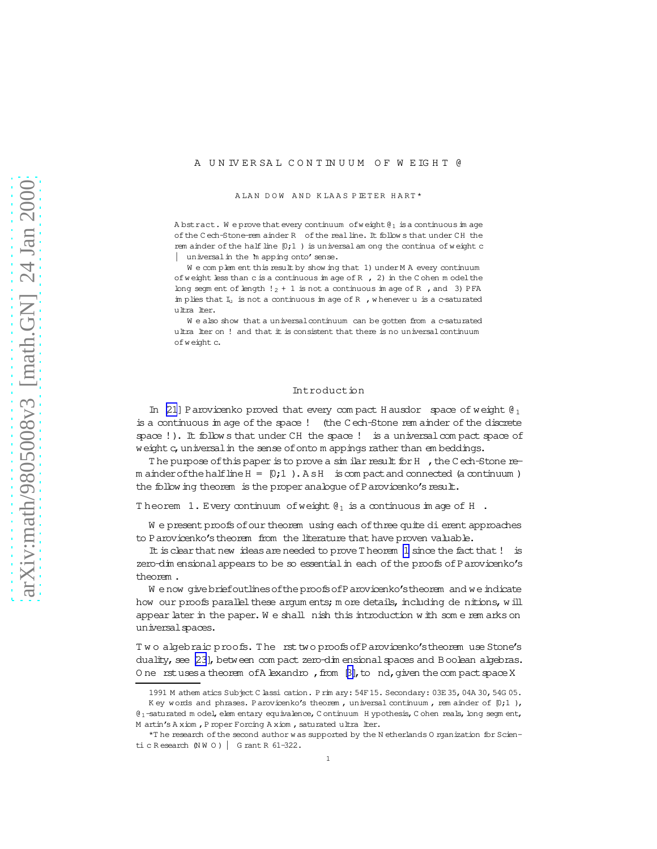#### <span id="page-0-0"></span>A U N IV E R SA L C O N T IN U U M O F W E IG H T @

A LAN DOW AND KLAAS PIETER HART\*

A bstract. We prove that every continuum of weight  $\mathfrak{g}_1$  is a continuous im age ofthe C ech-Stone-rem ainder R ofthe realline. It follow s that under CH the rem ainder of the half line  $[0;1]$  ) is universal am ong the continua of weight c universal in the 'm apping onto' sense.

We complem ent this result by show ing that 1) under M A every continuum of weight less than c is a continuous im age of R , 2) in the C ohen m odel the long segm ent of length  $!_2 + 1$  is not a continuous im age of R, and 3) PFA im plies that  $I_u$  is not a continuous im age of R , w henever u is a c-saturated ultralter.

We also show that a universal continuum can be gotten from a c-saturated ultra lter on ! and that it is consistent that there is no universal continuum ofw eight c.

#### Introduction

In [\[21](#page-19-0)] Parovicenko proved that every compact H ausdor space of weight  $\theta_1$ is a continuous im age of the space ! (the C ech-Stone rem ainder of the discrete space !). It follows that under CH the space ! is a universal compact space of weight c, universal in the sense of onto m appings rather than em beddings.

The purpose of this paper is to prove a similar result for H , the C ech-Stone rem ainder of the halfline  $H = [0;1]$ . A s H is compact and connected (a continuum ) the follow ing theorem is the proper analogue of Parovicenko's result.

Theorem 1. Every continuum of weight  $\mathcal{C}_1$  is a continuous im age of H.

W e present proofs of our theorem using each of three quite dierent approaches to Parovicenko's theorem from the literature that have proven valuable.

It is clear that new ideas are needed to prove T heorem 1 since the fact that! is zero-dim ensional appears to be so essential in each of the proofs of Parovicenko's theorem .

W enow givebriefoutlines of the proofs of Parovicenko's theorem and we indicate how our proofs parallel these argum ents; m ore details, including de nitions, will appear later in the paper. We shall nish this introduction with some rem arks on universal spaces.

Two algebraic proofs. The rst two proofs of Parovicenko's theorem use Stone's duality, see [\[23](#page-19-0)], between com pact zero-dim ensional spaces and Boolean algebras. O ne rstuses a theorem of A lexandro, from  $\beta$ , to nd, given the compact space X

<sup>1991</sup> M athem atics Subject C lassication. P rim ary: 54F15. Secondary: 03E 35,04A 30,54G 05.

K ey words and phrases. Parovicenko's theorem, universal continuum, rem ainder of  $[0;1]$ , @1-saturated m odel, elem entary equivalence, C ontinuum H ypothesis, C ohen reals, long segm ent, M artin's A xiom, P roper Forcing A xiom, saturated ultra lter.

<sup>\*</sup>T he research of the second author w as supported by the N etherlands O rganization for Scientic R esearch (N W O ) | G rant R 61-322.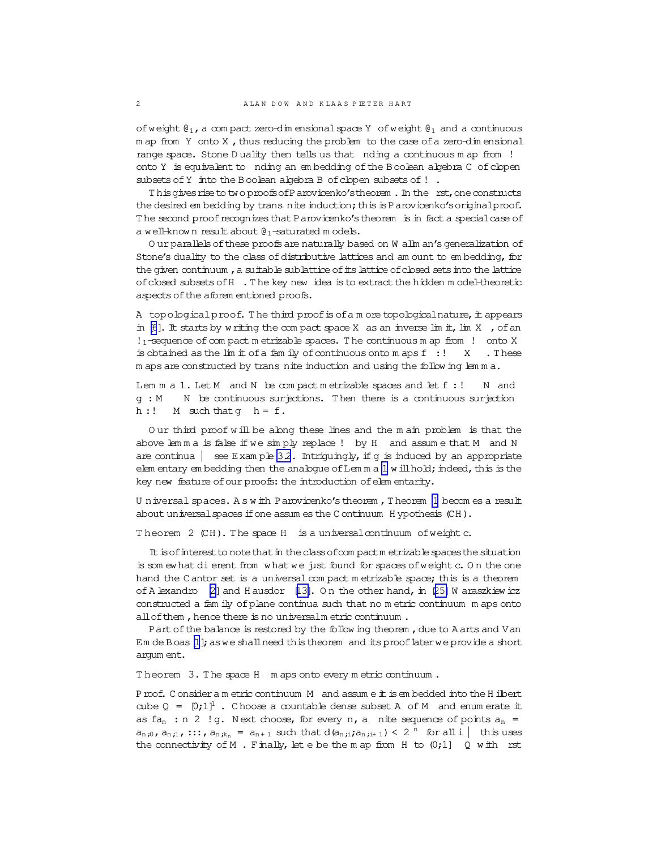of weight  $\mathfrak{g}_1$ , a com pact zero-dim ensional space Y of weight  $\mathfrak{g}_1$  and a continuous  $m$  ap from Y onto X, thus reducing the problem to the case of a zero-dim ensional range space. Stone D uality then tells us that nding a continuous m ap from ! onto Y is equivalent to nding an em bedding ofthe Boolean algebra C ofclopen subsets of Y into the Boolean algebra B of clopen subsets of !.

This gives rise to two proofs of Parovicenko's theorem . In the rst, one constructs the desired em bedding by trans nite induction; this is Parovicenko's original proof. The second proof recognizes that Parovicenko's theorem is in fact a special case of a well-known result about  $\theta_1$ -saturated m odels.

O urparallelsofthese proofsare naturally based on W allm an'sgeneralization of Stone's duality to the class of distributive lattices and am ount to em bedding, for the given continuum, a suitable sublattice of its lattice of closed sets into the lattice ofclosed subsetsofH .T he key new idea isto extractthe hidden m odel-theoretic aspects of the aforem entioned proofs.

A topological proof. The third proof is of a m ore topological nature, it appears in [\[6](#page-18-0)]. It starts by writing the compact space X as an inverse limit,  $\lim_{n \to \infty} X$ , of an  $!_1$ -sequence of com pact m etrizable spaces. The continuous m ap from  $!$  onto X is obtained as the lim it of a fam ily of continuous onto m aps  $f : ' X . The$ m aps are constructed by trans nite induction and using the follow ing lemma.

Lem  $m a 1$ . Let  $M$  and  $N$  be compact m etrizable spaces and let  $f : !$   $N$  and g : M N be continuous surjections. Then there is a continuous surjection h :!  $M$  such that  $g$   $h = f$ .

O ur third proof w ill be along these lines and the m ain problem is that the above lem m a is false if we sim ply replace ! by H and assum e that M and N are continua  $\vert$  see Exam ple [3.2](#page-9-0). Intriguingly, if q is induced by an appropriate elem entary em bedding then the analogue of Lem m a  $1$  w ill hold; indeed, this is the key new feature of our proofs: the introduction of elem entarity.

Universal spaces. A s with Parovicenko's theorem, Theorem [1](#page-0-0) becom es a result about universal spaces if one assum es the C ontinuum H ypothesis (CH).

Theorem 2 (CH). The space H is a universal continuum of weight c.

It is of interest to note that in the class of compactm etrizable spaces the situation is som ew hat dierent from what we just found for spaces of weightc. On the one hand the C antor set is a universal compact m etrizable space; this is a theorem of A lexandro [\[2\]](#page-18-0) and H ausdor  $[13]$ . On the other hand, in [\[25\]](#page-19-0) W araszkiew icz constructed a fam ily of plane continua such that no m etric continuum m aps onto allofthem ,hence there is no universalm etric continuum .

Part of the balance is restored by the follow ing theorem , due to A arts and Van Em de Boas [\[1](#page-18-0)]; as we shall need this theorem and its proof later we provide a short argum ent.

Theorem 3. The space H m aps onto every m etric continuum.

Proof. C onsider a m etric continuum M and assume it is embedded into the H ilbert cube  $Q = [0;1]^1$ . Choose a countable dense subset A of M and enum erate it as  $fa_n : n 2$  !g. Next choose, for every n, a nite sequence of points  $a_n =$  $a_{n,0}$ ,  $a_{n,1}$ ,  $\ldots$ ,  $a_{n,k_n}$  =  $a_{n+1}$  such that  $d(a_{n,i};a_{n,i+1}) < 2$  " for all  $i \mid$  this uses the connectivity of M . Finally, let e be the m ap from H to  $(0,1]$  Q with rst

<span id="page-1-0"></span>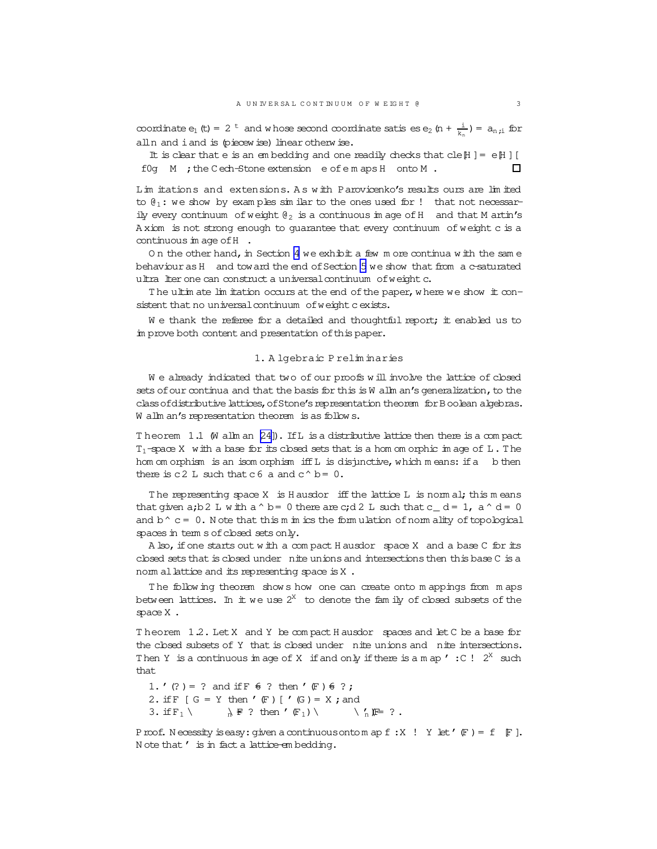<span id="page-2-0"></span>coordinate  $e_1$  (t) = 2<sup>t</sup> and w hose second coordinate satis es  $e_2$  (n +  $\frac{i}{k_n}$ ) =  $a_{n,i}$  for alln and i and is (piecew ise) linear otherw ise.

It is clear that e is an embedding and one readily checks that cle $[H] = e[H]$ f0g M ; the Cech-Stone extension e of e m aps H onto M. n.

Lim itations and extensions. A s w ith Parovicenko's results ours are lim ited to  $\mathcal{C}_1$ : we show by examples similar to the ones used for ! that not necessarily every continuum of weight  $\mathfrak{g}_2$  is a continuous im age of H and that M artin's A xiom is not strong enough to guarantee that every continuum of weight c is a continuous in age of  $H$ .

On the other hand, in Section [4](#page-11-0) we exhibit a few m ore continua with the same behaviouras H and toward the end of Section [5](#page-12-0) we show that from a c-saturated ultra lter one can construct a universal continuum of weight c.

The ultim ate lim itation occurs at the end of the paper, where we show it consistent that no universal continuum of weight cexists.

We thank the referee for a detailed and thoughtful report; it enabled us to im prove both content and presentation of this paper.

## 1. A lgebraic P relim inaries

We already indicated that two of our proofs will involve the lattice of closed sets of our continua and that the basis for this is W allm an's generalization, to the classofdistributivelattices,ofStone'srepresentation theorem forBoolean algebras. W allm an's representation theorem is as follow s.

T heorem 1.1 (W allm an [\[24\]](#page-19-0)). IfL is a distributive lattice then there is a com pact  $T_1$ -space X with a base for its closed sets that is a hom om orphic im age of  $L$ . The hom om orphism is an isom orphism iffL is disjunctive, which m eans: if a b then there is c2 L such that c6 a and  $c^{\wedge} b = 0$ .

The representing space X is H ausdor iff the lattice L is norm al; this means that given a;b2 L w ith a  $\circ$  b = 0 there are c;d2 L such that c\_ d = 1, a  $\circ$  d = 0 and  $b^{\wedge} c = 0$ . Note that this m im ics the form ulation of norm ality of topological spaces in term s of closed sets only.

A lso, if one starts out w ith a compact H ausdor space X and a base C for its closed sets that is closed under nite unions and intersections then this base C is a norm allattice and its representing space is X.

T he follow ing theorem show s how one can create onto m appings from m aps between lattices. In it we use  $2^X$  to denote the fam ily of closed subsets of the space X .

T heorem 1.2. LetX and Y be com pact H ausdor spaces and letC be a base for the closed subsets of Y that is closed under nite unions and nite intersections. Then Y is a continuous im age of X if and only if there is a m ap  $\prime$  : C !  $2^{X}$  such that

1. '(?) = ? and if  $F \notin ?$  then '(F)  $6$  ?; 2. if  $F$   $[G = Y$  then  $'$   $(F)$   $[V(G) = X$ ; and 3. if  $F_1 \setminus \mathbb{R} \in ?$  then ' $(F_1) \setminus \mathbb{R} \in ?$ .

Proof. Necessity is easy: given a continuous onto m ap  $f : X$   $\vdots$   $Y$  let  $\prime$   $(F) = f$   $\vdots$   $F$  ]. N ote that ' is in fact a lattice-em bedding.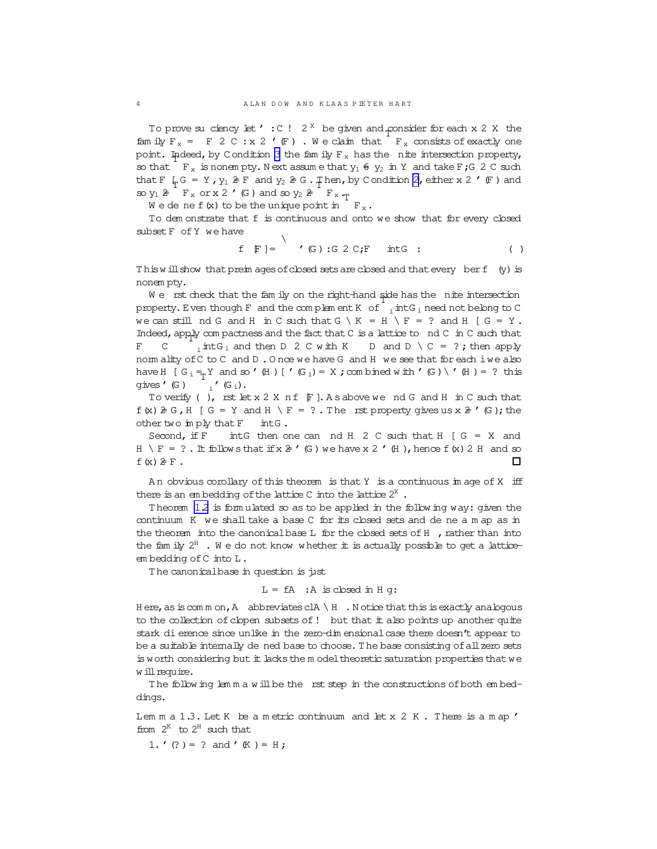To prove suciency let  $\prime$  : C ! 2<sup>x</sup> be given and consider for each x 2 X the family  $F_x = F 2 C : x 2' (F)$ . We claim that  $F_x$  consists of exactly one point. Indeed, by C ondition [3](#page-2-0) the family  $F_x$  has the nite intersection property, so that  $\Gamma$   $_{\text{F}$  is nonem pty. Next assume that  $y_1 \oplus y_2$  in Y and take F;G 2 C such that F  $\frac{1}{2}G = Y$ ,  $y_1 \geq F$  and  $y_2 \geq G$ . Then, by C ondition [2](#page-2-0), either x 2  $'$  (F ) and so  $y_1 \ncong F_x$  or x 2 '(G) and so  $y_2 \ncong F_x \cdot_T$ 

We dene f(x) to be the unique point in  $\Gamma_{\rm x}$ .

To dem onstrate that f is continuous and onto we show that for every closed subset F of Y we have  $\setminus$ 

$$
f \quad F \mid =
$$
 ' (G) : G 2 C; F intG : ( )

This will show that preim ages of closed sets are closed and that every berf (y) is nonem pty.

We instituted that the family on the right-hand side has the inite intersection property.Even though F and the com plem entK of i intG <sup>i</sup> need notbelong to C we can still nd G and H in C such that  $G \setminus K = H \setminus F = ?$  and H [  $G = Y$ . Indeed, apply compactness and the fact that  $C$  is a lattice to nd  $C$  in  $C$  such that F C  $\sum_{i=1}^{n}$  intG<sub>i</sub> and then D 2 C with K D and D \ C = ?; then apply norm ality of C to C and D. O nce we have G and H we see that for each iwe also have H  $[G_i = Y \text{ and } \infty'$  (H )  $[V(G_i) = X; \text{com~bined~w~ith'} (G) \setminus' (H) = ?$  this gives'(G )  $_i$   $\prime$   $\left(\mathbb{G}_{\text{i}}\right)$  .

To verify ( ), rst let  $x \, 2 \, X$  n f  $\mathbb F$  ]. A s above we nd G and H in C such that  $f(x) \ge G$ , H [ G = Y and H \ F = ? . The rst property gives us x  $\ge$  '(G); the other two imply that F intG.

Second, if  $F$  intertion one can nd H 2 C such that H  $G = X$  and H \ F = ? . It follow sthat if  $x \geq 1$  (G ) we have x 2 '(H ), hence f(x) 2 H and so  $f(x) \ncong F$ .  $\Box$ 

A n obvious corollary ofthis theorem is that Y is a continuous im age of X iff there is an embedding of the lattice C into the lattice  $2^X$ .

T heorem [1.2](#page-2-0) is form ulated so as to be applied in the follow ing way: given the continuum K we shall take a base C for its closed sets and de ne a m ap as in the theorem into the canonical base  $L$  for the closed sets of  $H$ , rather than into the fam ily  $2^H$  . We do not know whether it is actually possible to get a latticeem bedding of C into L.

T he canonicalbase in question is just

$$
L = fA : A \text{ is closed in } H g:
$$

H ere, as is comm on, A abbreviates clA  $\setminus$  H . N otice that this is exactly analogous to the collection of clopen subsets of  $!$  but that it also points up another quite stark dierence since unlike in the zero-dim ensionalcase there doesn't appear to be a suitable internally de ned base to choose. The base consisting of all zero sets is worth considering but it lacks the m odel theoretic saturation properties that we w ill require.

T he follow ing lem m a w illbe the rst step in the constructions ofboth em beddings.

Lem m a 1.3. Let K be a m etric continuum and let x 2 K. There is a m ap ' from  $2^{K}$  to  $2^{H}$  such that

1. '(?) = ? and '(K ) = H;

<span id="page-3-0"></span>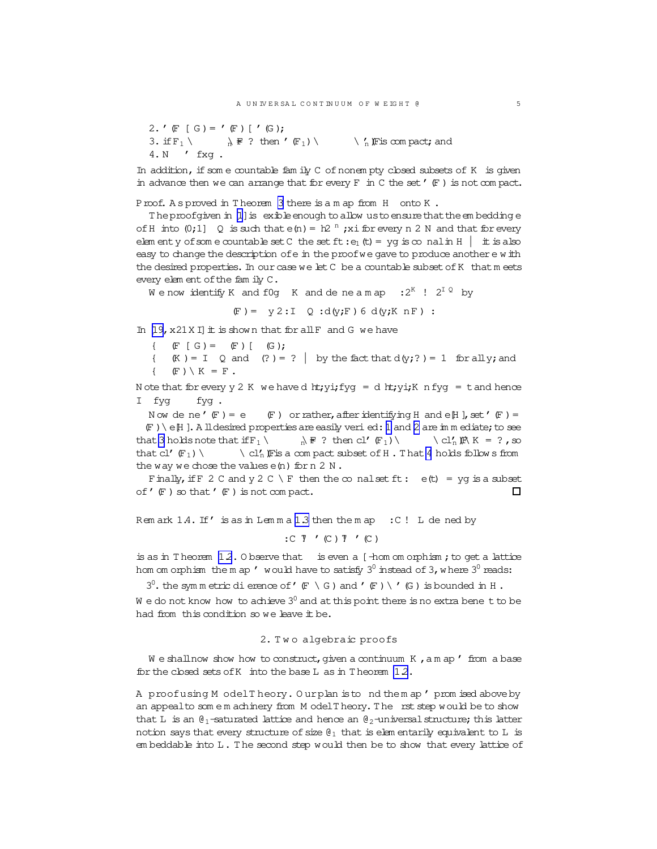<span id="page-4-0"></span>2. 
$$
\ulcorner
$$
  $\llcorner$   $\llcorner$   $\llcorner$   $\llcorner$   $\llcorner$   $\llcorner$   $\llcorner$   $\llcorner$   $\llcorner$   $\llcorner$   $\llcorner$   $\llcorner$   $\llcorner$   $\llcorner$   $\llcorner$   $\llcorner$   $\llcorner$   $\llcorner$   $\llcorner$   $\llcorner$   $\llcorner$   $\llcorner$   $\llcorner$   $\llcorner$   $\llcorner$   $\llcorner$   $\llcorner$   $\llcorner$   $\llcorner$   $\llcorner$   $\llcorner$   $\llcorner$   $\llcorner$   $\llcorner$   $\llcorner$   $\llcorner$   $\llcorner$   $\llcorner$   $\llcorner$   $\llcorner$   $\llcorner$   $\llcorner$   $\llcorner$   $\llcorner$   $\llcorner$   $\llcorner$   $\llcorner$   $\llcorner$   $\llcorner$   $\llcorner$   $\llcorner$   $\llcorner$   $\llcorner$   $\llcorner$   $\llcorner$   $\llcorner$   $\llcorner$   $\llcorner$   $\llcorner$   $\llcorner$   $\llcorner$   $\llcorner$   $\llcorner$   $\llcorner$   $\llcorner$   $\llcorner$   $\llcorner$   $\llcorner$   $\llcorner$   $\llcorner$   $\llcorner$   $\llcorner$   $\llcorner$   $\llcorner$   $\llcorner$   $\llcorner$   $\llcorner$   $\llcorner$   $\llcorner$   $\llcorner$   $\llcorner$   $\llcorner$   $\llcorner$   $\llcorner$   $\llcorner$   $\llcorner$   $\llcorner$   $\llcorner$   $\llcorner$   $\llcorner$   $\llcorner$   $\llcorner$   $\llcorner$   $\llcorner$   $\$ 

In addition, if some countable family C of nonempty closed subsets of K is given in advance then we can arrange that for every  $F$  in C the set  $'$  ( $F$ ) is not compact.

Proof. A sproved in Theorem 3 there is a m ap from H onto K.

The proofgiven in [1] is exible enough to allow us to ensure that the embedding e of H into  $(0,1)$  Q is such that  $e(n) = h2^n$ ; x i for every n 2 N and that for every elementy of some countable set C the set ft:  $e_1$  (t) = yg is conal in H it is also easy to change the description of e in the proof we gave to produce another e with the desired properties. In our case we let C be a countable subset of K that meets every element of the family  $C$ .

We now identify K and f0q K and de ne a m ap :  $2^{K}$  !  $2^{IQ}$  by

 $(F) = y2:I Q : d(y;F) 6 d(y;K nF)$ :

In [19, x21 X I] it is shown that for all F and G we have

{  $(F [G] = F) [ (G);$ 

 $(K) = I$  Q and  $(?) = ?$  by the fact that  $d(y;?) = 1$  for all y; and {  $(F) \setminus K = F$ .

Note that for every y 2 K we have d ht; yi; fyg = d ht; yi; K n fyg = t and hence I fyg fyg.

Now dene'  $(F) = e$  $(F)$  or rather, after identifying H and e[H], set ' $(F)$  =  $(F) \setminus e$  [H]. A lidesired properties are easily veried: 1 and 2 are in mediate; to see that 3 holds note that if  $F_1 \setminus$  $\mathbb{R} \times \mathbb{R}$  ? then cl'  $(\mathbb{F}_1)$  $\setminus$  cl'<sub>n</sub>  $\mathbb{R}$  K = ?, so that  $cl'(\mathbb{F}_1)$ \ cl'<sub>n</sub> \[Fis a compact subset of H . That 4 holds follow s from the way we chose the values  $e(n)$  for  $n \geq N$ .

Finally, if F 2 C and y 2 C \ F then the  $\infty$  nal set ft:  $e(t) = yq$  is a subset of  $'$   $(F)$  so that  $'$   $(F)$  is not compact. п

Remark 1.4. If' is as in Lemma 1.3 then the map : C! L de ned by

 $: \mathbb{C}$   $\overline{Y}$   $\prime$   $(\mathbb{C})$   $\overline{Y}$   $\prime$   $(\mathbb{C})$ 

is as in Theorem 12.0 bserve that is even a  $\lceil$  hom om orphism; to get a lattice hom om orphism the m ap ' would have to satisfy  $3^0$  instead of 3, where  $3^0$  reads:

 $3^0$ , the symmetric dierence of 'F \G ) and 'F ) \'G ) is bounded in H.

We do not know how to achieve  $3^0$  and at this point there is no extra bene t to be had from this condition so we leave it be.

# 2. Two algebraic proofs

 $W$  e shall now show how to construct, given a continuum  $K$ , am ap  $'$  from a base for the closed sets of K into the base L as in Theorem  $1.2$ .

A proofusing M odelTheory. Ourplan is to nd them ap' prom ised above by an appeal to som em achinery from M odel Theory. The rst step would be to show that L is an  $\theta_1$ -saturated lattice and hence an  $\theta_2$ -universal structure; this latter notion says that every structure of size  $\mathcal{C}_1$  that is elementarily equivalent to L is em beddable into L. The second step would then be to show that every lattice of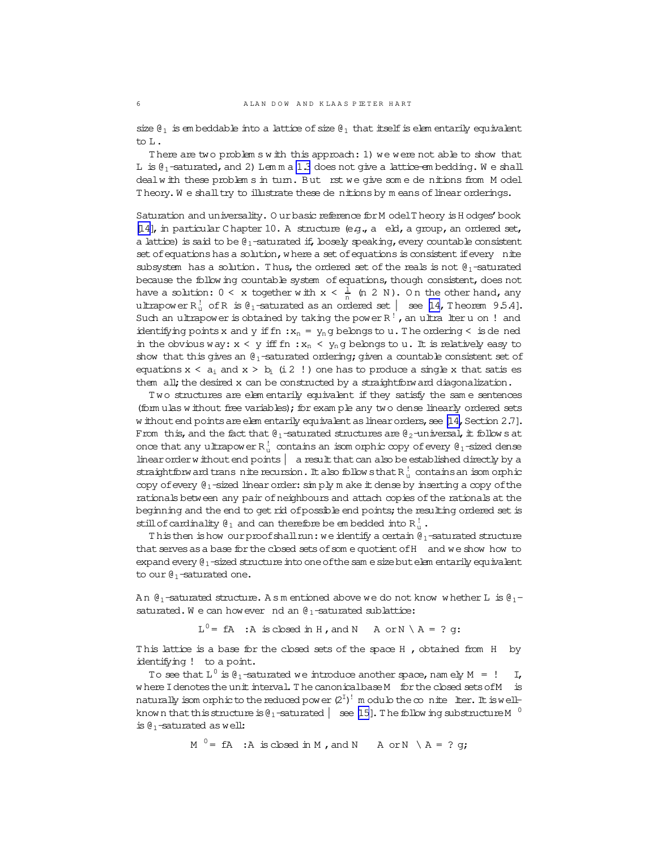size  $\mathcal{C}_1$  is em beddable into a lattice of size  $\mathcal{C}_1$  that itself is elem entarily equivalent to L.

There are two problem s w ith this approach: 1) we were not able to show that L is  $\theta_1$ -saturated, and 2) Lem m a [1.3](#page-3-0) does not give a lattice-em bedding. We shall dealw ith these problem s in turn. But rst we give some de nitions from M odel Theory. We shall try to illustrate these denitions by means of linear orderings.

Saturation and universality. O urbasic reference for M odel T heory is H odges' book [\[14\]](#page-19-0), in particular C hapter 10. A structure (e.g.,  $a$  eld, a group, an ordered set, a lattice) is said to be  $\mathfrak{g}_1$ -saturated if, loosely speaking, every countable consistent set of equations has a solution, w here a set of equations is consistent if every nite subsystem has a solution. Thus, the ordered set of the reals is not  $\theta_1$ -saturated because the follow ing countable system of equations, though consistent, does not have a solution:  $0 < x$  together with  $x < \frac{1}{n}$  (n 2 N). On the other hand, any ultrapower  $R_u^!$  of R is  $\mathfrak{g}_1$ -saturated as an ordered set  $|$  see [\[14,](#page-19-0) Theorem 9.5.4]. Such an ultrapower is obtained by taking the power R<sup>!</sup>, an ultra lteru on ! and identifying points x and y if  $fn : x_n = y_n$ g belongs to u. The ordering < is de ned in the obvious way:  $x < y$  iff fn :  $x_n < y_n$ g belongs to u. It is relatively easy to show that this gives an  $\theta_1$ -saturated ordering; given a countable consistent set of equations  $x < a_i$  and  $x > b_i$  (i 2 !) one has to produce a single x that satis es them all; the desired x can be constructed by a straightforward diagonalization.

T wo structures are elem entarily equivalent if they satisfy the sam e sentences (form ulas w ithout free variables); for exam ple any two dense linearly ordered sets w ithout end points are elem entarily equivalent as linear orders, see  $[14$ , Section 2.7]. From this, and the fact that  $\mathcal{C}_1$ -saturated structures are  $\mathcal{C}_2$ -universal, it follow s at once that any ultrapower  $R_u^!$  contains an isom orphic copy of every  $\theta_1$ -sized dense linear order w ithout end points  $|$  a result that can also be established directly by a straightforw and trans nite recursion. It also follow sthat R $_{\mathrm{u}}^!$  contains an isom orphic copy of every  $\theta_1$ -sized linear order: simply m ake it dense by inserting a copy of the rationals between any pair ofneighbours and attach copies ofthe rationals at the beginning and the end to get rid of possible end points; the resulting ordered set is still of cardinality  $\mathfrak{g}_1$  and can therefore be em bedded into  $R_u^!$  .

This then is how our proof shall run: we identify a certain  $\theta_1$ -saturated structure that serves as a base for the closed sets of some quotient of H and we show how to expand every  $\theta_1$ -sized structure into one of the sam e size but elem entarily equivalent to our  $\mathbf{\theta}_1$ -saturated one.

An  $\theta_1$ -saturated structure. A s m entioned above we do not know whether L is  $\theta_1$ saturated. We can however nd an  $\theta_1$ -saturated sublattice:

 $L^0$  = fA : A is closed in H, and N A or N \ A = ? g:

This lattice is a base for the closed sets of the space H, obtained from H by identifying ! to a point.

To see that  $L^0$  is  $\theta_1$ -saturated we introduce another space, namely  $M = !$  I, w here I denotes the unit interval. The canonicalbase M for the closed sets of M is naturally isom orphicto the reduced power  $(2^I)^!$  m odulo the  $\infty$  nite lter. It is wellknow n that this structure is  $\theta_1$  -saturated  $\left| \right. \right.$  see [\[15\]](#page-19-0). The follow ing substructure M  $^{-0}$ is  $\theta_1$ -saturated as well:

 $M^0$  = fA : A is closed in M, and N A or N \ A = ? g;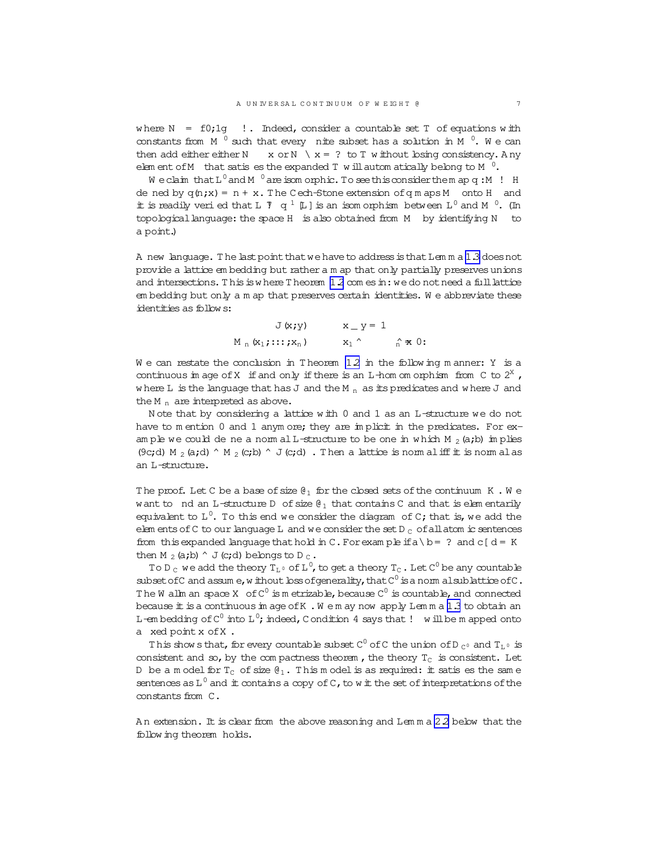<span id="page-6-0"></span>where  $N = f0;1g$  !. Indeed, consider a countable set T of equations with constants from  $M^0$  such that every nite subset has a solution in  $M^0$ . We can then add either either N  $x$  or N  $x = ?$  to T w ithout bsing consistency. Any element of M that satis es the expanded T will automatically belong to M  $^{0}$ .

We claim that  $L^0$  and M  $^0$  are isom orphic. To see this consider them apq: M ! H de ned by  $q(n,x) = n + x$ . The Cech-Stone extension of q m aps M onto H and it is readily veri ed that L  $\bar{J}$  q<sup>1</sup> [L] is an isom orphism between L<sup>0</sup> and M<sup>0</sup>. (In topological language: the space H is also obtained from M by identifying N to a point.)

A new language. The last point that we have to address is that Lemm a 1.3 does not provide a lattice embedding but rather am ap that only partially preserves unions and intersections. This is where Theorem 12 com es in: we do not need a full lattice em bedding but only a m ap that preserves certain identities. We abbreviate these identities as follows:

$$
J(x,y) \qquad x_y = 1
$$
  
M<sub>n</sub>(x<sub>1</sub>;...;x<sub>n</sub>)  $x_1$   $\hat{r} \times 0$ :

We can restate the conclusion in Theorem  $12$  in the following manner: Y is a continuous in age of X if and only if there is an  $L$ -hom om orphism from C to  $2^{\chi}$ , where L is the language that has J and the M  $_n$  as its predicates and where J and the M  $_n$  are interpreted as above.

Note that by considering a lattice with 0 and 1 as an L-structure we do not have to mention 0 and 1 anymore; they are implicit in the predicates. For example we could de ne a norm all-structure to be one in which  $M_2(a,b)$  in plies (9c;d) M<sub>2</sub> (a;d)  $\wedge$  M<sub>2</sub> (c;b)  $\wedge$  J (c;d) . Then a lattice is norm al iff it is norm al as an L-structure.

The proof. Let C be a base of size  $\mathfrak{g}_1$  for the closed sets of the continuum K.We w ant to nd an L-structure D of size  $\theta_1$  that contains C and that is elementarily equivalent to  $L^0$ . To this end we consider the diagram of C; that is, we add the elements of C to our language L and we consider the set  $D<sub>c</sub>$  of all atom ic sentences from this expanded language that hold in C. For example if  $a \ b = ?$  and  $c [d = K]$ then M<sub>2</sub> (a;b)  $\wedge$  J (c;d) belongs to D<sub>c</sub>.

To D<sub>c</sub> we add the theory  $T_{L^0}$  of L<sup>0</sup>, to get a theory  $T_c$ . Let C<sup>0</sup> be any countable subset of C and assume, without loss of generality, that  $C^0$  is a norm alsublattice of C. The W allm an space X of  $C^0$  is m etrizable, because  $C^0$  is countable, and connected because it is a continuous in age of K . We m ay now apply Lemma 1.3 to obtain an L-embedding of  $C^0$  into L<sup>0</sup>; indeed, C ondition 4 says that ! will be m apped onto a xed point x of X.

This shows that, for every countable subset  $C^0$  of C the union of D  $_{C^0}$  and T<sub>1</sub><sup>0</sup> is consistent and so, by the compactness theorem, the theory  $T_c$  is consistent. Let D be a m odel for  $T_c$  of size  $\theta_1$ . This m odel is as required: it satis es the same sentences as  $L^0$  and  $\pm$  contains a copy of C, to wit the set of interpretations of the constants from  $C$ .

An extension. It is clear from the above reasoning and Lemma 2.2 below that the following theorem holds.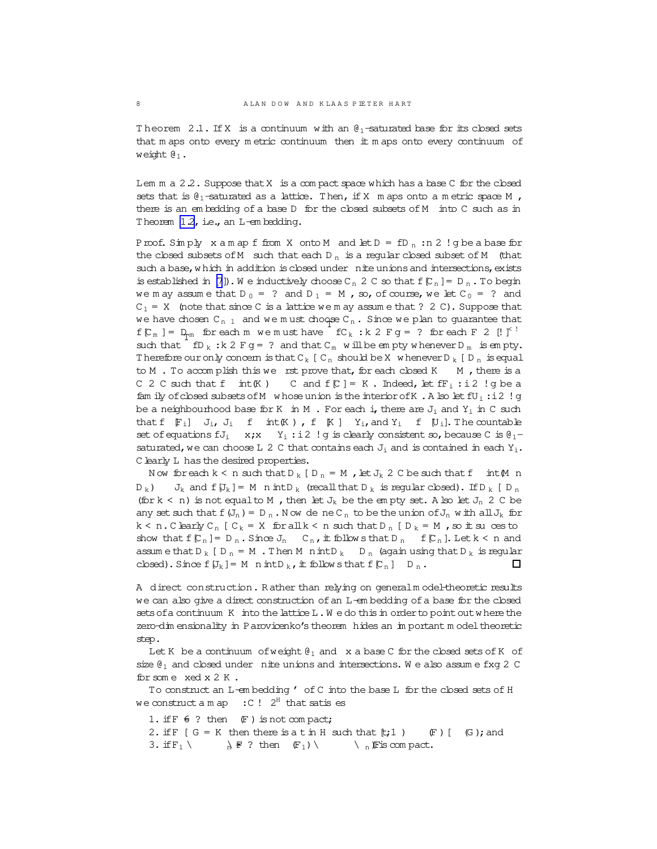Theorem 2.1. If X is a continuum with an  $\theta_1$ -saturated base for its closed sets that m aps onto every m etric continuum then it m aps onto every continuum of weight  $\theta_1$ .

Lem  $m a 2.2$ . Suppose that X is a compact space which has a base C for the closed sets that is  $\mathcal{C}_1$ -saturated as a lattice. Then, if X m aps onto a m etric space M , there is an embedding of a base D for the closed subsets of M into C such as in Theorem [1.2](#page-2-0), i.e., an L-em bedding.

Proof. Sim ply  $x$  a m ap f from  $X$  onto M and let  $D = fD_n : n \cdot 2$  ! g be a base for the closed subsets of M such that each  $D_n$  is a regular closed subset of M (that such a base, w hich in addition is closed under nite unions and intersections, exists is established in [\[7](#page-18-0)]). We inductively choose  $C_n$  2 C so that  $f[C_n] = D_n$ . To begin we m ay assume that  $D_0 = ?$  and  $D_1 = M$ , so, of course, we let  $C_0 = ?$  and  $C_1 = X$  (note that since C is a lattice we m ay assume that ? 2 C). Suppose that we have chosen  $C_{n-1}$  and we m ust choose  $C_n$ . Since we plan to guarantee that  $f[C_m] = D_{\text{m}}$  for each m we must have  $f(C_k : k \ 2 \ F g = ?$  for each  $F \ 2 \ [!] \int^?$ such that  $\overline{f}D_k : k \; 2 \; F \circ g = ?$  and that  $C_m$  will be empty whenever  $D_m$  is empty. Therefore our only concern is that C<sub>k</sub> [ C<sub>n</sub> should be X w henever D<sub>k</sub> [ D<sub>n</sub> is equal to  $M$ . To accomplish this we rst prove that, for each closed  $K$   $M$ , there is a C 2 C such that  $f$  int $(K)$  C and  $f[C] = K$ . Indeed, let  $ff_i : i2$  !g be a fam ily of closed subsets of M w hose union is the interior of K. A lso let  $fU_i : i2$  !g be a neighbourhood base for K in M . For each i, there are  $J_i$  and  $Y_i$  in C such that  $f$   $F_i$ ]  $J_i$ ,  $J_i$   $f$   $int(K)$ ,  $f$   $K$  ]  $Y_i$ , and  $Y_i$   $f$   $U_i$ ]. The countable set of equations  $fJ_i$   $x; x$   $Y_i$ :  $i2$  ! g is clearly consistent so, because C is  $\theta_1$ saturated, we can choose L 2 C that contains each  $J_i$  and is contained in each  $Y_i$ . C learly L has the desired properties.

N ow for each  $k < n$  such that  $D_k$  [  $D_n = M$  , let  $J_k$  2 C be such that  $f$  int  $(M \ n)$  $D_k$ )  $J_k$  and f[ $J_k$ ] = M n intD<sub>k</sub> (recall that D<sub>k</sub> is regular closed). If D<sub>k</sub> [D<sub>n</sub> (for  $k < n$ ) is not equal to M, then let  $J_k$  be the empty set. A lso let  $J_n$  2 C be any set such that  $f(U_n) = D_n$ . Now de neC<sub>n</sub> to be the union of  $J_n$  with all  $J_k$  for  $k < n$ . Clearly  $C_n$  [  $C_k = X$  for all  $k < n$  such that  $D_n$  [  $D_k = M$ , so it su ces to show that  $f[C_n] = D_n$ . Since  $J_n$   $C_n$ , it follows that  $D_n$   $f[C_n]$ . Let  $k < n$  and assum e that D <sub>k</sub> [ D <sub>n</sub> = M . Then M n  $\text{intD}_k$  D <sub>n</sub> (again using that D <sub>k</sub> is regular closed). Since  $f[U_k]=M$  nint $D_k$ , it follow sthat  $f[C_n]$  D  $_n$ .  $\Box$ 

A direct construction. R ather than relying on generalm odel-theoretic results we can also give a direct construction ofan L-em bedding ofa base for the closed sets of a continuum  $K$  into the lattice  $L \cdot W$  e do this in order to point out where the zero-dim ensionality in Parovicenko's theorem hides an im portant m odeltheoretic step.

Let K be a continuum of weight  $\mathfrak{g}_1$  and x a base C for the closed sets of K of size  $\mathfrak{g}_1$  and closed under nite unions and intersections. We also assume fxg 2 C for som e xed x 2 K .

To construct an L-em bedding ' of C into the base L for the closed sets of H we construct a m ap  $\cdot$  :  $C$  !  $2^{H}$  that satis es

1. if  $F \in ?$  then  $(F)$  is not com pact; 2. if  $F$  [  $G = K$  then there is a t in H such that  $[t,1)$  (F ) [ (G ); and 3. if  $F_1 \setminus \mathbb{R} \neq ?$  then  $(F_1) \setminus \mathbb{R}$  is compact.

<span id="page-7-0"></span>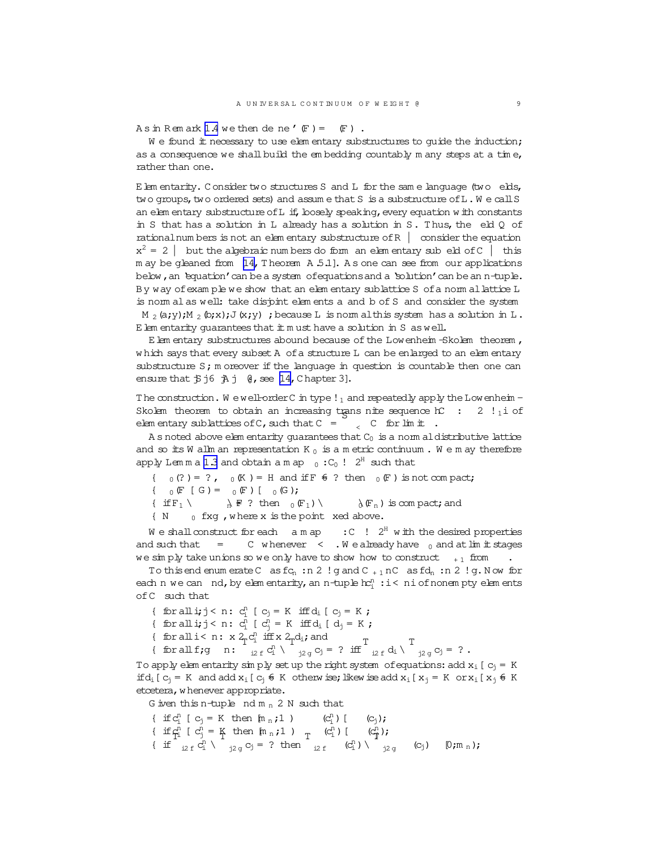A s in Rem ark  $1.4$  we then dene'  $(F) =$   $(F)$ .

We found it necessary to use elem entary substructures to guide the induction; as a consequence we shall build the em bedding countably m any steps at a time, rather than one.

 $E$  lem entarity. Consider two structures S and  $L$  for the same language (two elds, two groups, two ordered sets) and assume that  $S$  is a substructure of  $L$ . We call  $S$ an elem entary substructure of L if, loosely speaking, every equation w ith constants in S that has a solution in L already has a solution in S. T hus, the eld Q of rationalnum bers is not an elem entary substructure of  $R \mid \text{consider the equation}$  $x^2 = 2$  | but the algebraic num bers do form an elem entary sub eld of C | this m ay be gleaned from [\[14,](#page-19-0) Theorem A 5.1]. As one can see from our applications below, an 'equation' can be a system of equations and a 'solution' can be an n-tuple. By way ofexam ple we show that an elem entary sublattice S ofa norm allattice L is norm al as well: take disjoint elem ents a and b of S and consider the system M 2 (a;y);M 2 (b;x);J(x;y) ; because L is norm althis system has a solution in L. E lem entarity guarantees that  $\pm$  m ust have a solution in S as well.

Elem entary substructures abound because of the Lowenheim -Skolem theorem, w hich says that every subset A of a structure L can be enlarged to an elem entary substructure S; m oreover if the language in question is countable then one can ensure that  $\frac{1}{5}$ j6  $\frac{1}{5}$ j  $\frac{1}{9}$ , see [\[14,](#page-19-0) C hapter 3].

The construction. W ewell-order C in type  $!_1$  and repeatedly apply the Lowenheim -Skolem theorem to obtain an increasing trans nite sequence  $\kappa$  : 2 !<sup>1</sup> of elem entary sublattices of C, such that C =  $\int_{0}^{\infty}$  C for limit.

A s noted above elem entarity guarantees that  $C_0$  is a norm aldistributive lattice and so its W allm an representation K  $_0$  is a m etric continuum. We m ay therefore apply Lemma [1.3](#page-3-0) and obtain a m ap  $_0: C_0$ !  $2^H$  such that

- $\{ 0 \quad (?) = ?$ ,  $0 \quad (K) = H$  and if  $F \notin ?$  then  $0 \quad (F)$  is not compact;
- $\{ 0 \in [G] = 0 \in I \mid [G] \}$
- { if  $F_1 \setminus \mathbb{R} F$  ? then  $_0(F_1) \setminus \mathbb{R} F_n$  is com pact; and
- ${N \atop 0}$  fxg, where x is the point xed above.

We shall construct for each amap  $\cdot$  :  $C$   $\cdot$   $2^H$  with the desired properties and such that  $=$  C w henever  $\lt$  . W e already have  $_0$  and at limit stages we sim ply take unions so we only have to show how to construct  $+$  1 from

To this end enum erate C as  $fC_n : n 2$ ! g and  $C_{+1}$  nC as  $fC_n : n 2$ ! g. Now for each n we can  $\pi$  nd, by elem entarity, an n-tuple  $\mathrm{hc}_{\mathrm{i}}^{\mathrm{n}}:$   $\mathrm{i}<$  niof nonem pty elem ents ofC such that

{ for alli;j < n: c n <sup>i</sup> [ c<sup>j</sup> = K iffd<sup>i</sup> [ c<sup>j</sup> = K ;

- { for all i; j < n:  $c_i^n$  [  $c_j^n = K$  iff  $d_i$  [  $d_j = K$ ;
- { for all i< n:  $x 2_T c_i^n$  if  $f x 2_T d_i$ ; and T T T

{ for allf;g n:  $_{i2 \text{ f}}$   $c_i^n$   $\setminus$  $a_i$ ; and  $\sigma_j = ?$  iff  $_{i2 \text{ f}}$  d<sub>i</sub> \  $j_2 g C_j = ?$ .

To apply elem entarity sim ply set up the right system of equations: add  $x_i$  [ $c_i$  = K if  $d_i$  [  $c_j$  = K and add  $x_i$  [  $c_j$   $\in$  K otherw ise; likew iseadd  $x_i$  [  $x_j$  = K or  $x_i$  [  $x_j$   $\in$  K etcetera, w henever appropriate.

G iven this n-tuple nd  $m_n$  2 N such that

{ ifc n <sup>i</sup> [ c<sup>j</sup> = K then [m <sup>n</sup> ;1 ) (c n <sup>i</sup> )[ (cj); { if  $c_j^n$  [  $c_j^n = K$  then  $[m_n; 1]$  ]  $\underset{T}{\uparrow}$   $(c_i^n)$  [  $(c_j^n)$ ; { if T  $_{i2 \; f} \; \check{c}^{\rm n}_{i} \; \backslash$  $\frac{m}{12}$  under  $\left[\begin{array}{c} m_{n};1\\ n \end{array}\right]$  T  $i$ 2 f  $(c_i^n)$ T  $j2 g$   $(C_j)$   $[0;m_n);$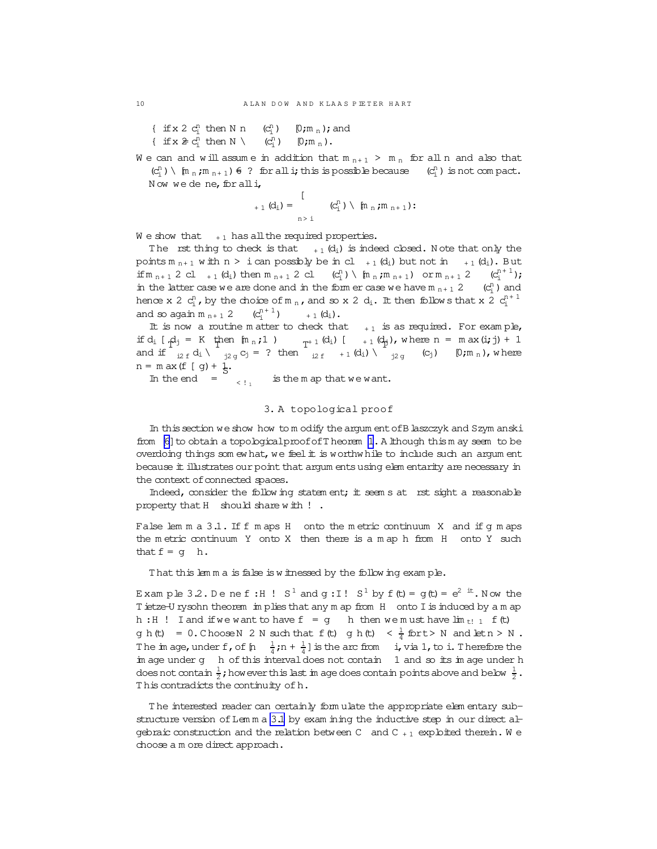{ if x 2  $c_i^n$  then N n  $(c_i^n)$  $[0; m_n)$ ; and { if  $x \ncong c_i^n$  then  $N \setminus (c_i^n)$  $(c_i^n)$  $[0; m_n)$ .

We can and will assume in addition that  $m_{n+1} > m_n$  for all n and also that  $(c_i^n) \setminus [m_n; m_{n+1}) \in ?$  for all i; this is possible because  $(c_i^n)$  is not compact. Now we dene, for all  $i$ ,

$$
_{+\,1}\, (d_i)=\,\bigcup_{n\, >\, i}\, \, (C_i^n)\,\setminus\, \, {\mathfrak{f}}{\mathfrak{n}}_n\, ;{\mathfrak{m}}_{n+1})\, ;
$$

We show that  $+1$  has all the required properties.

The rst thing to check is that  $+_1$  (d<sub>i</sub>) is indeed closed. Note that only the points  $m_{n+1}$  w ith  $n > i$  can possibly be in cl  $_{+1}$  (d<sub>i</sub>) but not in  $_{+1}$  (d<sub>i</sub>). But if  $m_{n+1}$  2 cl + 1 (d<sub>i</sub>) then  $m_{n+1}$  2 cl (c<sub>i</sub><sup>n</sup>) \  $[m_{n}$ ;  $m_{n+1}$ ) or  $m_{n+1}$  2 (c<sub>i</sub><sup>n+1</sup>); in the latter case we are done and in the form er case we have  $m_{n+1}$  2 ( $c_i^n$ ) and hence x 2  $c_i^n$ , by the choice of m<sub>n</sub>, and so x 2 d<sub>i</sub>. It then follows that x 2  $c_i^{n+1}$ and so again  $m_{n+1}$  2  $(c_i^{n+1})$  $_{+1}$  (d<sub>i</sub>).

It is now a routine m atter to check that  $+1$  is as required. For example, if  $d_i$   $\left[ \begin{array}{ccc} A_j = K & \text{then } [m_n;1] \\ T^{n-1} & \end{array} \right]$   $\left[ \begin{array}{ccc} 1 & \text{if } d_j \\ T^{n-1} & \end{array} \right]$ , where  $n = m$  ax $(i, j) + 1$ and if  $\int_{i2f} d_i \sqrt{\frac{i}{j2g}} c_j = ?$  then  $\int_{i2f} +_1(d_i) \sqrt{\frac{i}{j2g}}$  (c<sub>j</sub>) [0;m<sub>n</sub>), where  $n = m$  ax (f [ g) +  $\frac{1}{5}$ .

In the end  $=$   $\frac{1}{1}$ is the m ap that we want.

#### 3. A topological proof

In thissection weshow how to m odify theargum entofB laszczyk and Szym anski from [\[6\]](#page-18-0) to obtain a topological proof of T heorem [1](#page-0-0). A lthough thism ay seem to be overdoing things som ew hat, we feel it is worthw hile to include such an argum ent because it illustrates our point that argum ents using elem entarity are necessary in the context of connected spaces.

Indeed, consider the following statem ent; it seems at rst sight a reasonable property that H should share with !.

False lem m a 3.1. If f m aps H onto the metric continuum X and if g m aps the m etric continuum Y onto X then there is a m ap h from H onto Y such that  $f = g$  h.

That this lem m a is false is w itnessed by the follow ing exam ple.

Example 3.2. Denef:H!  $S^1$  and  $g:I!S^1$  by  $f(t) = g(t) = e^{2^t}$ . Now the T ietze-U rysohn theorem im plies that any m ap from H onto I is induced by a m ap h : H ! I and if we want to have  $f = g$  h then we must have  $\lim_{t \to 1} f(t)$ g h(t) = 0. Choose N 2 N such that f(t) g h(t) <  $\frac{1}{4}$  for t > N and letn > N. The image, under f, of  $[n - \frac{1}{4};n + \frac{1}{4}]$  is the arc from i, via 1, to i. Therefore the im age under g h of this interval does not contain 1 and so its im age under h does not contain  $\frac{1}{2}$ ; how ever this last im age does contain points above and below  $\frac{1}{2}$ . This contradicts the continuity of h.

T he interested reader can certainly form ulate the appropriate elem entary substructure version of Lem m a 3.1 by exam ining the inductive step in our direct algebraic construction and the relation between C and C  $_{+1}$  exploited therein. We choose a m ore direct approach.

<span id="page-9-0"></span>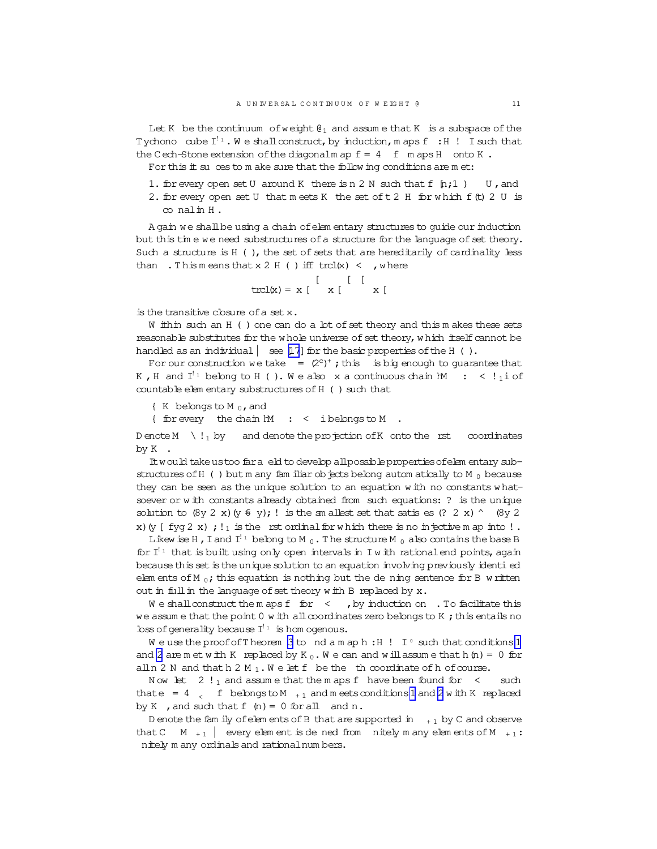Let K be the continuum of weight  $\mathfrak{g}_1$  and assume that K is a subspace of the Tychono cube  $I^{\perp_1}$ . We shall construct, by induction, maps  $f : H$  ! I such that the Cech-Stone extension of the diagonalm ap  $f = 4$  f maps H onto K.

For this  $#$  su ces to  $m$  ake sure that the follow ing conditions are  $m$  et:

1. for every open set U around K there is n 2 N such that  $f$  [n; 1 ) U, and 2. for every open set U that meets K the set of t 2 H for which f (t) 2 U is  $\infty$  nalin H.

A gain we shall be using a chain of elementary structures to quide our induction but this time we need substructures of a structure for the language of set theory. Such a structure is  $H$  (), the set of sets that are hereditarily of cardinality less than . This means that  $x 2 H$  ( ) iff trcl(x) < , where

$$
trcl(x) = x \begin{bmatrix} 1 & 1 \\ 1 & 1 \end{bmatrix}
$$

is the transitive closure of a set x.

W ithin such an H () one can do a lot of set theory and this m akes these sets reasonable substitutes for the whole universe of set theory, which itself cannot be handled as an individual  $\vert$  see [17] for the basic properties of the H ().

For our construction we take =  $(2^c)^+$ ; this is big enough to guarantee that K, H and  $I^{\{1\}}$  belong to H ( ). We also x a continuous chain M : < ! 10 f countable elem entary substructures of H () such that

 $K$  belongs to M<sub>0</sub>, and

{ for every the chain MM  $: <$  ibelongs to M

D enote M  $\setminus$  ! 1 by and denote the projection of K onto the rst coordinates by K.

It would take us too far a eld to develop all possible properties of elem entary substructures of H () but m any familiar objects belong automatically to M  $_0$  because they can be seen as the unique solution to an equation with no constants whatsoever or with constants already obtained from such equations: ? is the unique solution to  $(8y 2 x) (y \tisin y)$ ; ! is the sm allest set that satis es  $(? 2 x)$   $\wedge$   $(8y 2$ x) (y [ fyq 2 x ) ; ! is the rst ordinal for which there is no injective m ap into !.

Likew ise H, I and  $I^{\frac{1}{2}}$  belong to M<sub>0</sub>. The structure M<sub>0</sub> also contains the base B for  $I^{\{1\}}$  that is built using only open intervals in I with rational end points, again because this set is the unique solution to an equation involving previously identi ed elements of M<sub>0</sub>; this equation is nothing but the dening sentence for B written out in full in the language of set theory with B replaced by x.

 $W$  e shall construct the m aps f for  $\leq$  , by induction on . To facilitate this we assume that the point  $0 \le h$  all coordinates zero belongs to K; this entails no  $\text{loss}$  of generality because  $I^{\perp_1}$  is hom ogenous.

We use the proof of Theorem 3 to nd am aph: H! I  $\circ$  such that conditions 1 and 2 are met with K replaced by K<sub>0</sub>. We can and will assume that h(n) = 0 for all n 2 N and that h 2 M<sub>1</sub>. We let f be the th coordinate of h of course.

Now let  $2 \cdot 1$  and assume that the m aps f have been found for  $\leq$  such that e = 4  $\lt$  f belongs to M  $_{+1}$  and m eets conditions 1 and 2 w ith K replaced by K, and such that  $f(n) = 0$  for all and n.

D enote the family of elements of B that are supported in  $+1$  by C and observe that C  $\parallel$   $\parallel$   $\parallel$  every element is de ned from nitely m any elements of M  $_{+1}$ : nitely m any ordinals and rational num bers.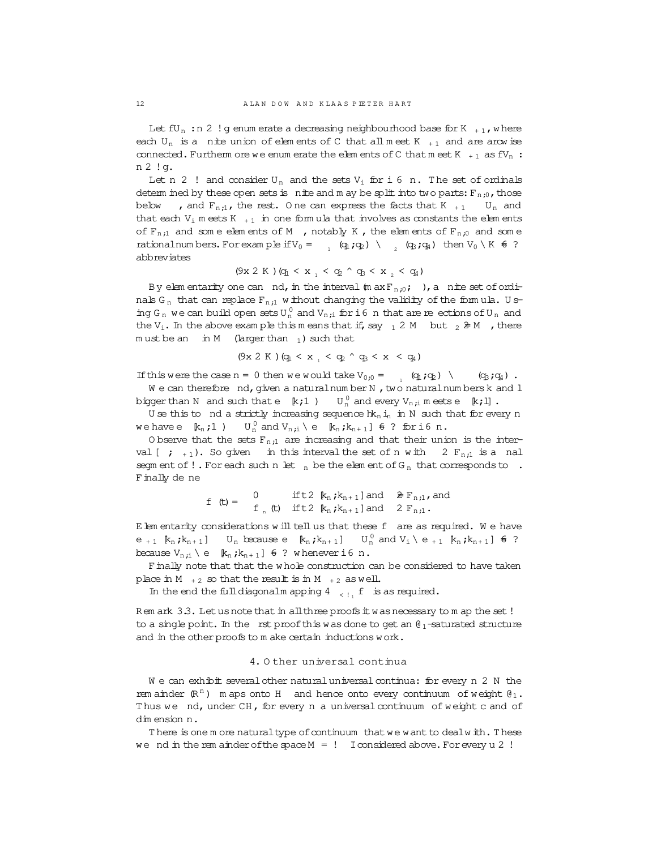Let  $fU_n$ :n 2 ! g enum erate a decreasing neighbourhood base for K  $_{+1}$ , where each U<sub>n</sub> is a nite union of elements of C that all meet K  $_{+1}$  and are arcw ise connected. Furtherm ore we enum erate the elem ents of C that m eet K  $_{+1}$  as  $fV_n$ : n 2 !g.

Let n 2 ! and consider  $U_n$  and the sets  $V_i$  for i 6 n. The set of ordinals determ ined by these open sets is nite and m ay be split into two parts:  $F_{n;0}$ , those below , and  $F_{n,i}$ , the rest. One can express the facts that K  $_{+1}$  U<sub>n</sub> and that each  $V_i$  m eets K  $_{+1}$  in one form ula that involves as constants the elem ents of  $F_{n,i}$  and some elements of M , notably K, the elements of  $F_{n,i}$  and some rationalnum bers. For example if  $V_0 = \begin{array}{cc} (q_1; q_2) & \wedge \end{array}$  (q<sub>3</sub>;q<sub>4</sub>) then  $V_0 \setminus K$   $\in$  ? abbreviates

$$
(9x 2 K) (q_1 < x_1 < q_2 \land q_3 < x_2 < q_4)
$$

By elem entarity one can nd, in the interval  $(m \, \text{axF}_n, _0; )$ , a nite set of ordinals G<sub>n</sub> that can replace  $F_{n;1}$  w ithout changing the validity of the formula. Using G<sub>n</sub> we can build open sets  $U_n^0$  and  $V_{n,i}$  for i6 n that are reections of  $U_n$  and the V<sub>i</sub>. In the above exam ple this means that if, say  $12 M$  but  $2 H$ , there  $m$  ust be an  $m$  M (larger than 1) such that

$$
(9x 2 K) (q_1 < x_1 < q_2 \land q_3 < x < q_4)
$$

If this were the case  $n = 0$  then we would take  $V_{0;0} = 0$  (q<sub>1</sub>;q<sub>2</sub>) \ (q<sub>3</sub>;q<sub>4</sub>).  $W$  e can therefore  $nd$ , given a naturalnum berN, two naturalnum bersk and  $1$ 

biggerthan N and such that e  $(k;1)$   $\qquad$   $\rm U_{n}^0$  and every  $\rm V_{n,i}$  meets e  $\qquad$   $k$ ;  $\rm II$  . U se this to nd a strictly increasing sequence  $hk_n i_n$  in N such that for every n

we have e  $k_n$ ;1) U<sub>n</sub> and V<sub>n;i</sub> \e  $k_n$ ; $k_{n+1}$ ]  $\epsilon$  ? for i6 n.

O bserve that the sets  $F_{n,i}$  are increasing and that their union is the interval  $\left[$  ;  $_{+1}$ ). So given in this interval the set of n with 2  $F_{n,i}$  is a nal segm ent of ! . For each such n let  $_n$  be the elem ent of  $G_n$  that corresponds to . Finally de ne

f (t) = 
$$
\int_{f_n}^{f_n} f(t) dt
$$
 if t2  $[k_n, k_{n+1}]$  and  $[k_n, k_{n+1}]$  and  $[l_n, l_n]$ .

Elem entarity considerations w ill tell us that these f are as required. W e have  $e_{+1}$   $[k_n; k_{n+1}]$  U<sub>n</sub> because  $e[k_n; k_{n+1}]$  $_{n}^{0}$  and  $V_{i} \setminus e_{+1}$  [ $k_{n}$ ; $k_{n+1}$ ]  $\in$  ? because  $V_{n,i} \setminus e$  [ $k_n$ ; $k_{n+1}$ ]  $\in$  ? w henever i6 n.

Finally note that that the w hole construction can be considered to have taken place in M  $_{+2}$  so that the result is in M  $_{+2}$  as well.

In the end the fulldiagonalm apping 4  < !<sup>1</sup> f is as required.

Rem ark 3.3. Let us note that in all three proofs it was necessary to m ap the set! to a single point. In the rst proof this was done to get an  $\theta_1$ -saturated structure and in the other proofs to m ake certain inductions work.

### 4. O ther universal continua

We can exhibit several other natural universal continua: for every n 2 N the rem ainder  $(\mathbb{R}^n)$  m aps onto H and hence onto every continuum of weight  $\mathfrak{g}_1$ . Thus we nd, under CH, for every n a universal continuum of weight c and of dim ension n.

There is one m ore naturaltype of continuum that we want to dealw ith. These we nd in the rem ainder of the space  $M = 1$  I considered above. For every u 2 !

<span id="page-11-0"></span>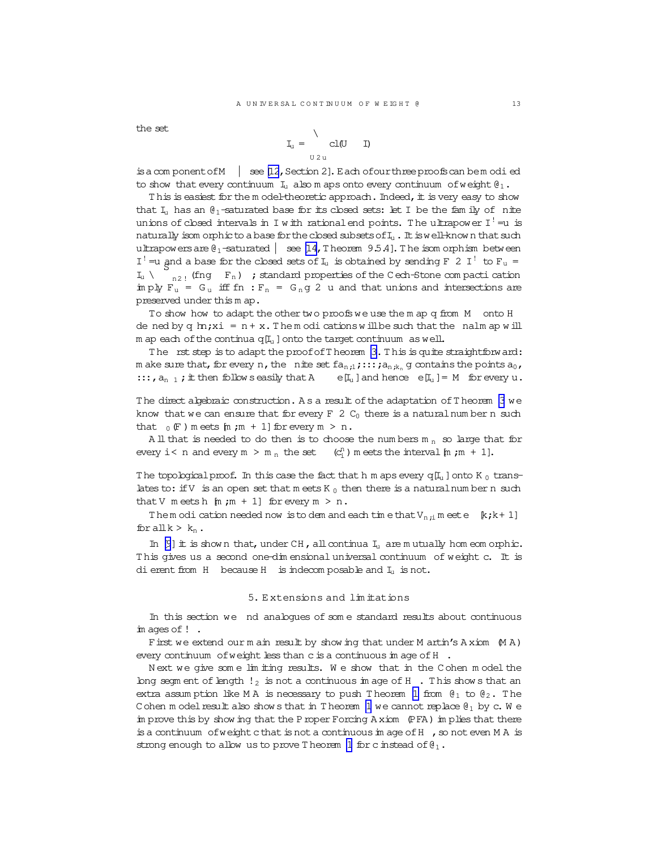<span id="page-12-0"></span>the set

$$
\mathbf{I}_{\mathbf{u}} = \begin{cases} \mathbf{u} & \mathbf{u} \\ \mathbf{v} & \mathbf{u} \end{cases}
$$

to show that every continuum  $I_1$  also m aps onto every continuum of weight  $\theta_1$ .

This is easiest for the model-theoretic approach. Indeed, it is very easy to show that  $I_u$  has an  $\theta_1$ -saturated base for its closed sets: let I be the fam ily of nite unions of closed intervals in I with rational end points. The ultrapower  $I^! = u$  is naturally isom orphic to a base for the closed subsets of  $I_u$ . It is well-known that such ultrapowers are  $\theta_1$ -saturated  $\theta$  see [14, T heorem 9.5.4]. The isom orphism between I<sup>1</sup> = u and a base for the closed sets of I<sub>u</sub> is obtained by sending F 2 I<sup>1</sup> to F<sub>u</sub> =  $\begin{bmatrix} 1 & 0 \\ 0 & 1 \end{bmatrix}$  (fng F<sub>n</sub>) ; standard properties of the Cech-Stone compactication  $I_u \setminus$ imply  $F_u = G_u$  iff fn :  $F_n = G_n g$  2 u and that unions and intersections are preserved under this m ap.

To show how to adapt the other two proofs we use them ap q from M onto H de ned by q  $m$ ; xi =  $n + x$ . Them odications will be such that the nalm ap will m ap each of the continua  $q[I_1]$  onto the target continuum as well.

The rst step is to adapt the proof of Theorem 3. This is quite straightforward: m ake sure that, for every n, the nite set  $fa_{n,i}$ ;::;  $ja_{n,k_n}$  g contains the points  $a_0$ ,  $\ldots$ ,  $a_{n-1}$ ; it then follows easily that A  $e[I_u]$  and hence  $e[I_u] = M$  for every u.

The direct algebraic construction. As a result of the adaptation of Theorem 3 we know that we can ensure that for every  $F$  2  $C_0$  there is a natural number n such that  $_0$  (F) meets [m ; m + 1] for every m > n.

All that is needed to do then is to choose the numbers  $m_n$  so large that for every  $i < n$  and every  $m > m_n$  the set  $(C_i^n)$  m eets the interval  $[m, m + 1]$ .

The topological proof. In this case the fact that h m aps every  $q[I_u]$  onto K  $_0$  translates to: if V is an open set that meets  $K_0$  then there is a natural number n such that V meets h  $[m;m + 1]$  for every  $m > n$ .

Them odi cation needed now is to dem and each time that  $V_{n,i}$  meet e  $[k,k+1]$ for all  $k > k_n$ .

In  $[9]$  it is shown that, under CH, all continua  $I_u$  are mutually hom eom orphic. This gives us a second one-dim ensional universal continuum of weight c. It is dierent from H because H is indecomposable and  $I_1$  is not.

### 5. Extensions and limitations

In this section we nd analogues of some standard results about continuous  $im \, \alpha$  ages of  $!$ .

First we extend our main result by showing that under M artin's Axiom (MA) every continuum of weight less than c is a continuous in age of H.

Next we give some lim iting results. We show that in the Cohen model the long segm ent of length  $!_2$  is not a continuous in age of H. This shows that an extra assumption like MA is necessary to push Theorem 1 from  $\theta_1$  to  $\theta_2$ . The Cohen model result also show s that in Theorem 1 we cannot replace  $\mathfrak{g}_1$  by c. We in prove this by show ing that the P roper Forcing A xiom (PFA) in plies that there is a continuum of weight c that is not a continuous in age of  $H$ , so not even M A is strong enough to allow us to prove Theorem 1 for c instead of  $\theta_1$ .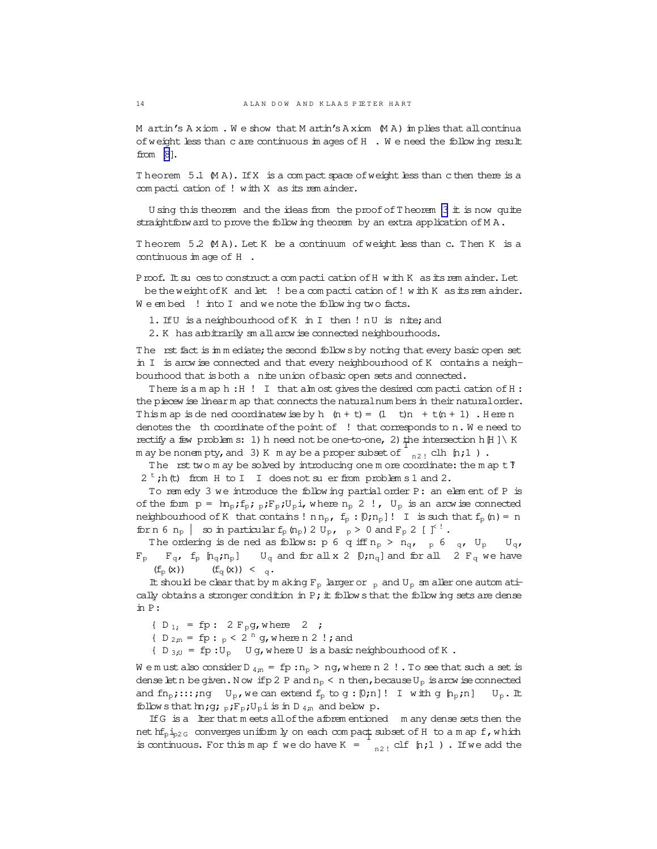M artin's A xiom. We show that M artin's A xiom (M A) im plies that all continua of weight less than c are continuous im ages of H . We need the follow ing result from [\[8\]](#page-18-0).

Theorem  $5.1 \,$   $(M A)$ . If X is a compact space of weight less than c then there is a com pacti cation of ! with X as its rem ainder.

U sing this theorem and the ideas from the proof of T heorem [3](#page-1-0) it is now quite straightforward to prove the follow ing theorem by an extra application of  $MA$ .

T heorem 5.2 (M A). Let K be a continuum of weight less than c. Then K is a continuous im age of H .

Proof. It su ces to construct a com pacti cation of H w ith K as its rem ainder. Let be the weight of K and let ! be a compactication of ! with K as its rem ainder. We embed ! into I and we note the following two facts.

1. IfU is a neighbourhood ofK in I then ! nU is nite;and

2. K has arbitrarily sm all arcw ise connected neighbourhoods.

The rst fact is immediate; the second follow sby noting that every basic open set in I is arcw ise connected and that every neighbourhood of K contains a neighbourhood that is both a nite union ofbasic open sets and connected.

There is a m ap h: H ! I that alm ost gives the desired compacti cation of H : the piecew ise linearm ap that connects the naturalnum bers in their natural order. This m ap is dened coordinatew ise by h  $(n + t) = (1 + t)n + t(n + 1)$ . Here n denotes the th coordinate ofthe point of! that corresponds to n. W e need to rectify a few problem s: 1) h need not be one-to-one, 2) the intersection h[H ] \ K m ay be nonempty, and 3) K m ay be a proper subset of  $\left[\begin{array}{cc} n_{21} \end{array}$  clh  $[n;1]$  ).

The rst two m ay be solved by introducing one m ore coordinate: the m ap  $t$   $\mathcal I$  $2^t$ ;h(t) from H to I I does not suer from problem s 1 and 2.

To rem edy 3 we introduce the follow ing partial order P: an elem ent of P is of the form  $p = ln_p$ ;  $f_p$ ;  $p_iF_p$ ;  $U_p$ i, where  $n_p$  2 !,  $U_p$  is an arcw ise connected neighbourhood of K that contains !  $n n_p$ ,  $f_p : [0; n_p]$ ! I is such that  $f_p(n) = n$ forn 6  $n_p$  | so in particular  $f_p$  ( $n_p$ ) 2  $U_p$ ,  $p > 0$  and  $F_p$  2 [ $\uparrow$ <sup>!</sup>.

The ordering is de ned as follows:  $p \in q$  iff  $n_p > n_q$ ,  $p \in q$ ,  $U_p$   $U_q$ ,  $F_p$   $F_q$ ,  $f_p$   $[n_q; n_p]$   $U_q$  and for all x 2  $[0; n_q]$  and for all 2  $F_q$  we have  $(f_p(x))$   $(f_q(x)) < q$ .

It should be clear that by m aking  $F_p$  larger or  $_p$  and  $U_p$  sm aller one autom atically obtains a stronger condition in P; it follow s that the follow ing sets are dense in P:

{  $D_{1}$ ; = fp : 2  $F_{p}$ g, where 2 ;

{  $D_{2,n}$  = fp :  $_p < 2^n$  g, where n 2 !; and

 $\{ D_{3;U} = fp : U_D \quad U g$ , where U is a basic neighbourhood of K.

W e m ust also consider D  $_{4,n}$  = fp :  $n_p$  > ng, w here n 2 ! . To see that such a set is dense let n be given. N ow if p 2 P and  $n_p < n$  then, because  $U_p$  is arcw ise connected and  $fn_p$ ;::;ng  $U_p$ , we can extend  $f_p$  to  $g:[0;n]$ ! I with g  $[h_p;n]$   $U_p$ . It follow sthat  $m;g;p;F_p;U_p$  is in D  $_{4;n}$  and below p.

If G is a lter that m eets all of the aforem entioned m any dense sets then the net  $hf_{p1p2G}$  converges uniform  $ly$  on each compact subset of H to a m ap f, w hich is continuous. For this m ap f we do have K =  $\int_{n^2}$  clf [n;1 ). If we add the

<span id="page-13-0"></span>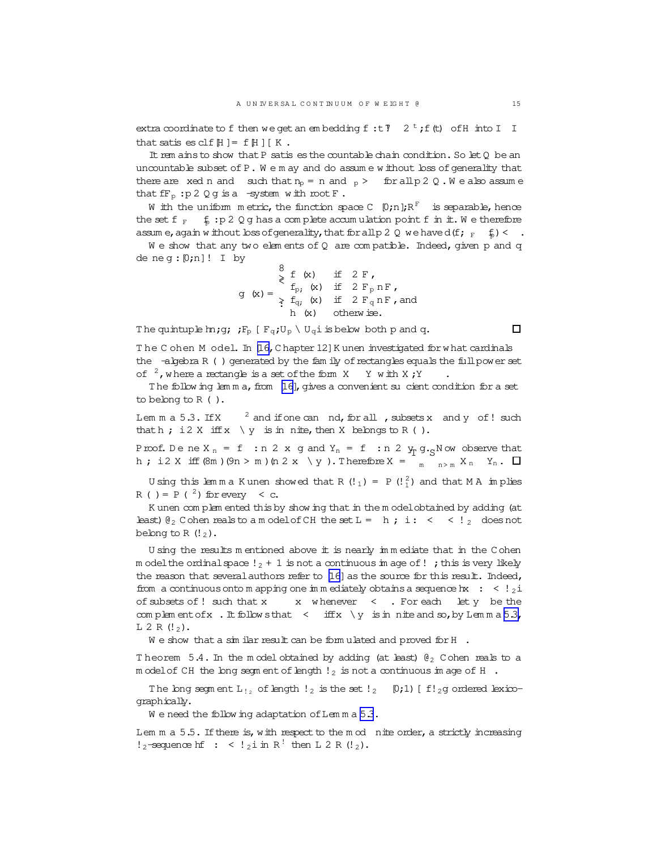<span id="page-14-0"></span>extra coordinate to f then we get an embedding f: t 7  $2^t$ ; f(t) of H into I I that satis es clf  $[H] = f[H] [K]$ .

It rem ains to show that P satis es the countable chain condition. So let Q be an uncountable subset of P. We m ay and do assume without loss of generality that there are xed n and such that  $n_p = n$  and  $_p >$  for all p 2 Q. We also assume that  $fF_p : p 2 Q q$  is a -system with root  $F$ .

W ith the uniform metric, the function space  $C$  [0;n]; $R^F$  is separable, hence the set f  $_F$  f : p 2 Q g has a complete accumulation point f in it. We therefore assum e, again w ithout bss of generality, that for all p 2 Q we have d(f;  $_F$  f) < .

We show that any two elements of  $Q$  are compatible. Indeed, given p and q de neg:  $[0; n]!$  I by

by<br>  $g(x) = \begin{cases} 8 & \text{if } 2 \text{ F,} \\ f_p; (x) & \text{if } 2 \text{ F_p nF,} \\ \Rightarrow f_q; (x) & \text{if } 2 \text{ F_q nF, and} \\ h (x) & \text{otherwise.} \end{cases}$ 

The quintuple  $m_{j}$ ;  $F_{p}$  [ $F_{q}$ ; $U_{p} \setminus U_{q}$  is below both p and q.

 $\Box$ 

The Cohen Model. In [16, Chapter 12] Kunen investigated for what cardinals the -algebra R () generated by the fam ily of rectangles equals the full power set of  $2$ , where a rectangle is a set of the form X Y with X; Y

The following lemma, from [16], gives a convenient su cient condition for a set to belong to  $R$  ().

Lemma  $5.3$ . If X  $3$  and if one can nd, for all, subsets x and y of! such that  $h$ ; i 2 X iff  $x \setminus y$  is in nite, then X belongs to R ().

Proof. Dene  $X_n = f$ : n 2 x g and  $Y_n = f$ : n 2  $Y_n$  g. Now observe that h; i2 X iff  $(\mathcal{S}m)(9n > m)$   $(n \ 2 \ x \ \ y)$ . Therefore  $X = \begin{bmatrix} 1 & 0 \ 0 & n \end{bmatrix}$ ,  $Y_n$ .  $Y_n$ .  $\Box$ 

U sing this lemma K unen showed that R (!1) = P (! $^{2}_{1}$ ) and that M A implies R ( ) = P ( $^2$ ) for every < c.

K unen complem ented this by show ing that in the model obtained by adding (at least)  $\theta_2$  C ohen reals to a m odel of CH the set L = h; i: < < ! a does not belong to R $(!_2)$ .

U sing the results m entioned above it is nearly immediate that in the Cohen m odel the ordinal space  $!$   $_2$  + 1 is not a continuous in age of !; this is very likely the reason that several authors refer to  $[16]$  as the source for this result. Indeed, from a continuous onto m apping one in mediately obtains a sequence hx : <  $!_2$ i x whenever < . For each let y be the of subsets of ! such that x complement of x . It follows that  $\langle$  if  $f(x) \rangle$  is in nite and so, by Lemma 5.3,  $L 2 R (!<sub>2</sub>)$ .

We show that a simular result can be formulated and proved for H  $\cdot$ 

Theorem 5.4. In the model obtained by adding (at least)  $\theta_2$  Cohen reals to a m odel of CH the long segment of length  $!_2$  is not a continuous im age of H.

The long segment  $L_{12}$  of length  $l_2$  is the set  $l_2$  [0;1) [f!<sub>2</sub>g ordered lexicoqraphically.

We need the following adaptation of Lemma 5.3.

Lem  $m a 5.5$ . If there is, with respect to the  $m o d$  nite order, a strictly increasing  $!_2$ -sequence hf: <  $!_2$ i in R<sup>!</sup> then L 2 R (!<sub>2</sub>).

15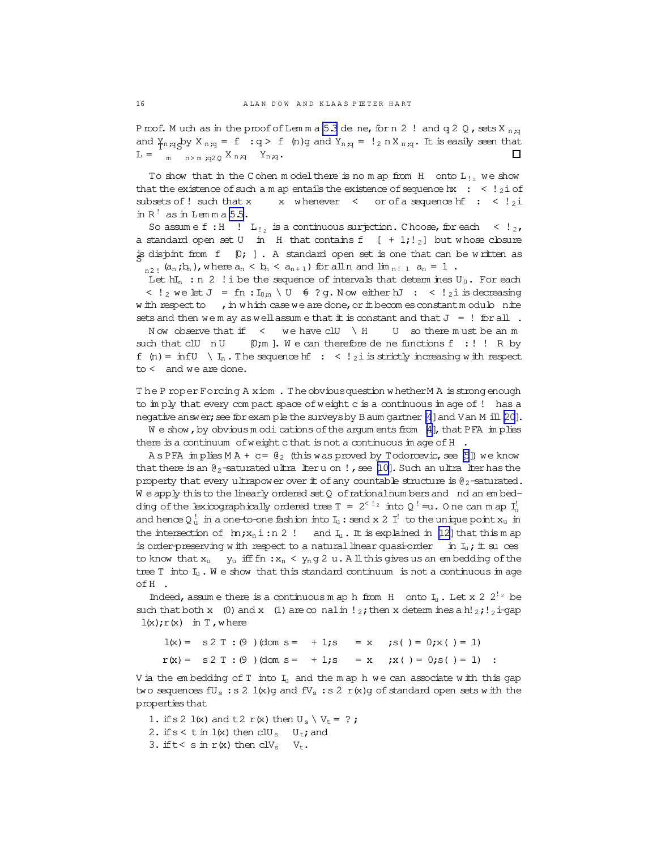Proof. Much as in the proof of Lemma 5.3 de ne, for n 2 ! and q 2 Q, sets X  $_{n,q}$ and  $\gamma_{n,q}$  by  $X_{n,q} = f : q > f$  (n)g and  $Y_{n,q} = \frac{1}{2} n X_{n,q}$ . It is easily seen that п  $L =$  m n>m;q2 0 X n;q Yn;q.

To show that in the Cohen model there is no map from  $H$  onto  $L_{1}$ , we show that the existence of such a m ap entails the existence of sequence hx :  $\lt$  ! 21 of subsets of ! such that x x whenever < or of a sequence hf : <  $!_2i$ in  $R<sup>!</sup>$  as in Lemma 5.5.

So assume f: H  $! \mathrm{L}_{!2}$  is a continuous surjection. Choose, for each  $\leq 1_{2}$ , a standard open set U in H that contains f  $[ +1; ]_2]$  but whose closure is disjoint from  $f$  [0; ]. A standard open set is one that can be written as  $_{\text{n2}~\text{l}}$  (a<sub>n</sub> ; b<sub>1</sub>), where  $\text{a}_\text{n}$  < b<sub>1</sub> < a<sub>n+1</sub>) for all n and lim  $_{\text{n}~\text{l}}$   $_{\text{1}}$  a<sub>n</sub> = 1 .

Let  $hI_n$ : n 2 ! i be the sequence of intervals that determines  $U_0$ . For each  $\langle$  ! 2 we let  $J = f n : I_{0n} \setminus U$   $\in$  ? g. Now either  $hJ : \langle$  ! 21 is decreasing w ith respect to , in which case we are done, or it becomes constant modulo nite sets and then we m ay as well assume that  $\pm$  is constant and that  $J = !$  for all.

Now observe that if  $\leftarrow$  we have clU \ H U so there must be an m such that clU  $nU$  [0;m]. We can therefore de ne functions f :!! R by f (n) = infU  $\setminus I_n$ . The sequence hf : < ! 2 i is strictly increasing with respect  $to <$  and we are done.

The Proper Forcing A xiom. The obvious question whether M A is strong enough to imply that every compact space of weight c is a continuous in age of ! has a negative answer; see for exam ple the surveys by B aum gartner [4] and V an M ill [20].

We show, by obvious modi cations of the argum ents from [4], that PFA implies there is a continuum of weight c that is not a continuous in age of  $H$ .

A s PFA in plies  $MA + c = \theta_2$  (this was proved by Todorcevic, see [5]) we know that there is an  $\mathfrak{g}_2$ -saturated ultra liter u on !, see [10]. Such an ultra liter has the property that every ultrapower over it of any countable structure is  $\theta_2$ -saturated. We apply this to the linearly ordered set Q of rational numbers and nd an embedding of the lexicographically ordered tree  $T = 2^{5/2}$  into  $Q^{\frac{1}{2}} = u$ . One can m ap I<sup>1</sup>, and hence  $Q_n^!$  in a one-to-one fashion into  $I_n$ : send x 2  $I^!$  to the unique point  $x_n$  in the intersection of  $\ln jx_n$  i: n 2! and  $I_u$ . It is explained in [12] that this m ap is order-preserving with respect to a natural linear quasi-order in  $I_1$ ; it su ces to know that  $x_u$   $y_u$  iff fn :  $x_n \le y_n g$  2 u. All this gives us an embedding of the tree T into  $I_u$ . We show that this standard continuum is not a continuous in age ofH.

Indeed, assume there is a continuous m ap h from H onto I<sub>1</sub>. Let x 2 2<sup>12</sup> be such that both x (0) and x (1) are  $\infty$  nalm ! 2; then x determ ines a h! 2; ! 2 i-gap  $l(x);r(x)$  in T, where

 $l(x) = s2 T : (9)$  (dom s = + 1; s = x ; s ( ) = 0; x ( ) = 1)  $r(x) = S2 T$ ; (9) (dom s = + 1; s = x ; x ( ) = 0; s ( ) = 1) :

V ia the embedding of  $T$  into  $I_u$  and the m ap h we can associate with this gap two sequences  $fU_s$ : s 2  $l(x)g$  and  $fV_s$ : s 2  $r(x)g$  of standard open sets with the properties that

1. if s 2 l(x) and t 2 r(x) then  $U_s \setminus V_t = ?$ ; 2. if  $s < t$  in  $l(x)$  then  $clU_s$   $U_t$ ; and 3. if  $t < s$  in  $r(x)$  then  $cIV_s$   $V_t$ .

 $16$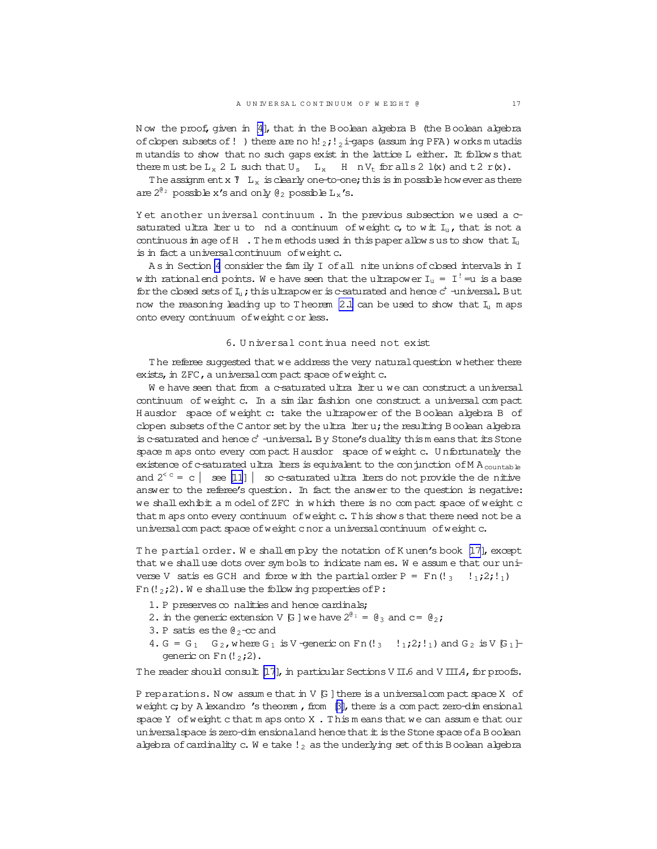N ow the proof, given in [\[4\]](#page-18-0), that in the Boolean algebra B (the Boolean algebra of clopen subsets of! ) there are no h! $_2$ ;  $_2$  i-gaps (assum ing PFA) works m utadis m utandis to show that no such gaps exist in the lattice L either. It follow s that there m ust be  $L_x$  2 L such that  $U_s$  L<sub>x</sub> H nV<sub>t</sub> for all s 2 l(x) and t 2 r(x).

The assignm ent x  $\overline{Y}$  L<sub>x</sub> is clearly one-to-one; this is in possible however as there are  $2^{\theta_2}$  possible x's and only  $\theta_2$  possible  $L_x$ 's.

Y et another universal continuum. In the previous subsection we used a csaturated ultra lter u to nd a continuum of weight  $c_i$ , to wit  $I_u$ , that is not a continuous in age of  $H$ . The m ethods used in this paper allow sus to show that  $I_u$ is in fact a universal continuum of weight c.

As in Section [4](#page-11-0) consider the fam ily I of all nite unions of closed intervals in I w ith rationalend points. We have seen that the ultrapower  ${\rm I}_{\rm u}$  =  $\rm~I^!$  =u is a base for the closed sets of  $I_u$ ; this ultrapower is c-saturated and hence  $c^+$  -universal. But now the reasoning leading up to T heorem [2.1](#page-6-0) can be used to show that  $I_u$  m aps onto every continuum of weight c or less.

# 6. U niversal continua need not exist

T he referee suggested that we address the very naturalquestion w hether there exists, in  $ZFC$ , a universal com pact space of weight  $c$ .

We have seen that from a c-saturated ultra lteru we can construct a universal continuum of weight c. In a sim ilar fashion one construct a universal com pact H ausdor space of weight c: take the ultrapower of the Boolean algebra B of clopen subsets of the C antor set by the ultra lteru; the resulting Boolean algebra is c-saturated and hence  $c^+$  -universal. By Stone's duality thism eans that its Stone space m aps onto every com pact H ausdor space of weight c. U nfortunately the existence of c-saturated ultra lters is equivalent to the conjunction of M A<sub>countable</sub> and  $2^{< c} = c \mid \mathcal{B} \neq [11] \mid \mathcal{B}$  $2^{< c} = c \mid \mathcal{B} \neq [11] \mid \mathcal{B}$  $2^{< c} = c \mid \mathcal{B} \neq [11] \mid \mathcal{B}$  or estimated ultral the state of provide the denitive answer to the referee's question. In fact the answer to the question is negative: we shallexhibit a m odelofZFC in w hich there is no com pact space of weight c that m aps onto every continuum of weight c. This show s that there need not be a universalcom pact space of weight cnor a universal continuum of weight c.

The partial order. We shall employ the notation of K unen's book  $[17]$ , except that we shalluse dots over sym bols to indicate nam es. W e assum e that our universe V satis es GCH and force w ith the partial order  $P = Fn(!_3 \quad 1_1;2;1_1)$ Fn( $!_2$ ;2). We shall use the following properties of P:

- 1. P preserves  $\infty$  nalities and hence cardinals;
- 2. in the generic extension V [G ] we have  $2^{\theta_1} = \theta_3$  and  $c = \theta_2$ ;
- 3. P satis es the  $\theta_2$ -cc and
- 4. G = G<sub>1</sub> G<sub>2</sub>, where G<sub>1</sub> is V-generic on Fn(!<sub>3</sub> !<sub>1</sub>;2;!<sub>1</sub>) and G<sub>2</sub> is V [G<sub>1</sub>]generic on  $Fn(l_2;2)$ .

The reader should consult [\[17](#page-19-0)], in particular Sections V II.6 and V III.4, for proofs.

P reparations. Now assume that in V [G] there is a universal compact space X of weight  $c$ ; by A lexandro 's theorem, from  $\beta$ ], there is a com pact zero-dim ensional space Y of weight cthat m aps onto X . This m eans that we can assum e that our universalspace is zero-dim ensionaland hence that it is the Stone space of a Boolean algebra of cardinality c. W e take  $!_2$  as the underlying set of this Boolean algebra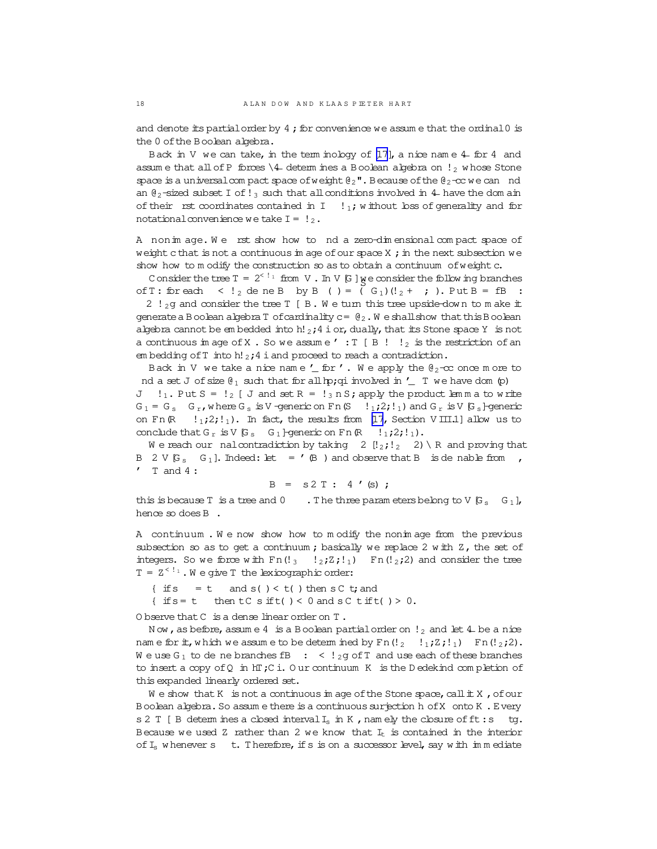and denote its partial order by  $4$ ; for convenience we assume that the ordinal  $0$  is the 0 ofthe Boolean algebra.

Back in V we can take, in the term inology of  $[17]$ , a nice nam e 4 for 4 and assum e that all of P forces  $\setminus 4$  determ ines a Boolean algebra on  $\cdot$  whose Stone space is a universal compact space of weight  $\mathbb{Q}_2$ ". Because of the  $\mathbb{Q}_2$ -cc we can nd an  $\theta_2$ -sized subset I of !<sub>3</sub> such that all conditions involved in 4- have the dom ain of their rst coordinates contained in  $I = \{j, j\}$  without loss of generality and for notational convenience we take  $I = \frac{1}{2}$ .

A nonim age. We rst show how to nd a zero-dim ensional compact space of weight c that is not a continuous in age of our space X ; in the next subsection we show how to m odify the construction so as to obtain a continuum of weight c.

Consider the tree  $T = 2^{5/1}$  from V. In V [G]  $\gamma$  e consider the following branches of T: for each  $\langle$ ! 2 de ne B by B ( ) =  $(G_1)(!_2 + )$  ). Put B = fB :

2 !  $2g$  and consider the tree T [B. W e turn this tree upside-down to m ake it generate a Boolean algebra T of cardinality  $c = \mathcal{C}_2$ . W e shall show that this Boolean algebra cannot be em bedded into h!  $_2$ ;4 i or, dually, that its Stone space Y is not a continuous in age of X. So we assume  $' : T [B : ]_2$  is the restriction of an em bedding of  $T$  into h!  $2;4$  i and proceed to reach a contradiction.

Back in V we take a nice name  $'$  for '. We apply the  $\theta_2$ -cc once m ore to nd a set J of size  $\mathfrak{g}_1$  such that for all hp; qi involved in  $'$  T we have dom (p) J  $!_1$ . Put S =  $!_2$  [ J and set R =  $!_3$  n S; apply the product lem m a to write  $G_1 = G_s$   $G_r$ , where  $G_s$  is V -generic on Fn(S  $\left(1, 2; 1, 1\right)$  and  $G_r$  is V  $G_s$  -generic on Fn(R  $\{1,2\}$ !<sub>1</sub>). In fact, the results from [\[17](#page-19-0), Section V III.1] allow us to conclude that  $G_r$  is V  $G_s$   $G_1$  + generic on Fn (R  $!_1;2;!_1$ ).

We reach our nalcontradiction by taking 2  $[!_2;!_2;2] \setminus R$  and proving that B 2 V  $[G_s \ G_1]$ . Indeed: let = '(B ) and observe that B is denable from ,  $'$  T and 4:

$$
B = s2 T : 4 '(s) ;
$$

this is because T is a tree and 0 . The three param eters belong to V  $[G_s \ G_1]$ , hence so does B.

A continuum . W e now show how to m odify the nonim age from the previous subsection so as to get a continuum; basically we replace 2 with Z, the set of integers. So we force with Fn(!<sub>3</sub> !<sub>2</sub>;Z;!<sub>1</sub>) Fn(!<sub>2</sub>;2) and consider the tree  $T = Z^{(-!)}$ . We give T the lexicographic order:

{ if  $s = t$  and  $s() < t()$  then  $sC$  t; and

{ if  $s = t$  then  $tC$  s if  $t$  ( ) < 0 and  $sC$  t if  $t$  ( ) > 0.

O bserve that C is a dense linear order on T.

N ow, as before, assume 4 is a Boolean partial order on  $!_2$  and let 4 be a nice nam e for  $\pm$ , which we assume to be determ ined by Fn $(!_2 \quad !_1;Z;!_1)$  Fn $(!_2;2)$ . We use  $G_1$  to de ne branches  $fB : < l_2g$  of  $T$  and use each of these branches to insert a copy ofQ in hT;C i. O ur continuum K is the D edekind com pletion of this expanded linearly ordered set.

We show that K is not a continuous im age of the Stone space, call  $\pm X$ , of our Boolean algebra. So assum e there is a continuous surjection h of X onto K. Every s 2 T [ B determ ines a closed interval  $I_s$  in K, namely the closure of ft: s tg. Because we used Z rather than 2 we know that  $I_t$  is contained in the interior of  $I_s$  w henever s t. T herefore, if s is on a successor level, say w ith immediate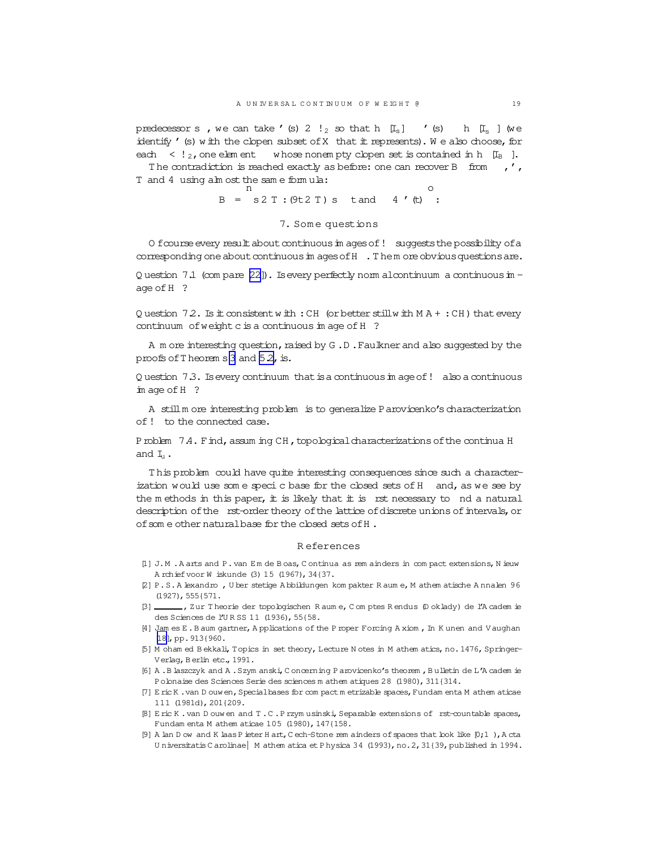<span id="page-18-0"></span>predecessor s, we can take '(s) 2  $!_2$  so that h [I<sub>s</sub>] '(s) h [I<sub>s</sub>] (we identify ' (s) with the clopen subset of X that it represents). We also choose, for each  $\langle$  !  $_2$ , one element whose nonempty clopen set is contained in h [I<sub>B</sub>].

The contradiction is reached exactly as before: one can recover B from  $\prime$ , T and 4 using alm ost the same formula:

 $B = S2 T : (9t2 T) s$  tand 4 (t) :

#### 7. Some questions

O foourse every result about continuous in ages of! suggests the possibility of a corresponding one about continuous in ages of H . Them ore obvious questions are.

Q uestion 7.1 (com pare  $[22]$ ). Is every perfectly norm alcontinuum a continuous in age of H ?

Q uestion  $72$ . Is it consistent with: CH (or better still with  $MA + : CH$ ) that every continuum of weight c is a continuous im age of H ?

A m ore interesting question, raised by G.D. Faulkner and also suggested by the proofs of Theorem s 3 and 52, is.

Question 7.3. Is every continuum that is a continuous in age of! also a continuous  $im \, age \, of \, H$  ?

A still m ore interesting problem is to generalize P arovicenko's characterization of! to the connected case.

Problem 7.4. Find, assuming CH, topological characterizations of the continua H and  $I_{1}$ .

This problem could have quite interesting consequences since such a characterization would use some specic base for the closed sets of H and, as we see by the methods in this paper, it is likely that it is rst necessary to nd a natural description of the rst-order theory of the lattice of discrete unions of intervals, or of some other natural base for the closed sets of H.

#### **References**

- [1] J.M. A arts and P. van Em de Boas, Continua as rem ainders in compact extensions, N ieuw A rchief voor W iskunde (3) 15 (1967), 34{37.
- [2] P.S.A lexandro, U ber stetige A bbildungen kom pakter R aum e, M athem atische A nnalen 96  $(1927)$ , 555 $(571)$
- ... , Zur Theorie der topologischen Raum e, Comptes Rendus (Doklady) de l'Academ ie  $\lbrack 3]$  des Sciences de l'URSS 11 (1936), 55{58.
- [4] Jam es E.B aum gartner, Applications of the P roper Forcing A xiom, In K unen and V aughan [18], pp.  $913(960.$
- [5] M oham ed Bekkali, Topics in set theory, Lecture N otes in M athem atics, no. 1476, Springer-Verlag, Berlin etc., 1991.
- [6] A. B laszczyk and A. Szym anski, C oncerning P arovicenko's theorem, Bulletin de L'A cadem ie Polonaise des Sciences Serie des sciences m athem atiques 28 (1980), 311{314.
- [7] E ric K . van D ouw en, Special bases for com pact m etrizable spaces, Fundam enta M athem aticae 111 (1981d), 201{209.
- [8] E ric K . van D ouw en and T . C . P rzym usinski, Separable extensions of rst-countable spaces, Fundam enta M athem aticae 105 (1980), 147{158.
- [9] A lan D ow and K laas P ieter H art, C ech-Stone rem ainders of spaces that look like [0;1 ), A cta Universitatis C arolinae | M athem atica et P hysica 34 (1993), no. 2, 31 (39, published in 1994.